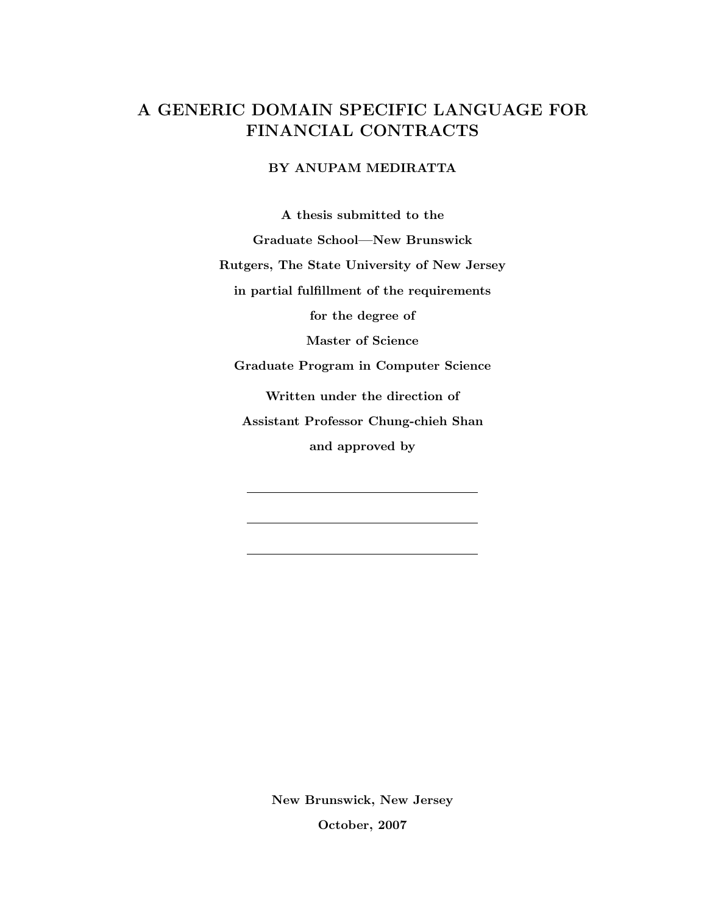# A GENERIC DOMAIN SPECIFIC LANGUAGE FOR FINANCIAL CONTRACTS

### BY ANUPAM MEDIRATTA

A thesis submitted to the Graduate School—New Brunswick Rutgers, The State University of New Jersey in partial fulfillment of the requirements for the degree of Master of Science Graduate Program in Computer Science Written under the direction of Assistant Professor Chung-chieh Shan and approved by

> New Brunswick, New Jersey October, 2007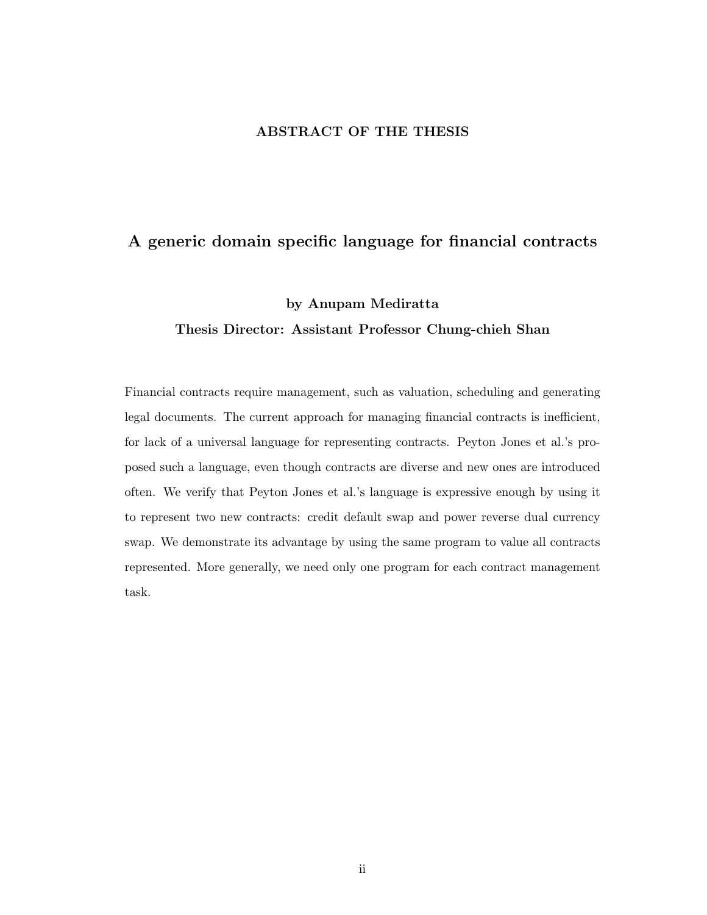#### ABSTRACT OF THE THESIS

## A generic domain specific language for financial contracts

#### by Anupam Mediratta

### Thesis Director: Assistant Professor Chung-chieh Shan

Financial contracts require management, such as valuation, scheduling and generating legal documents. The current approach for managing financial contracts is inefficient, for lack of a universal language for representing contracts. Peyton Jones et al.'s proposed such a language, even though contracts are diverse and new ones are introduced often. We verify that Peyton Jones et al.'s language is expressive enough by using it to represent two new contracts: credit default swap and power reverse dual currency swap. We demonstrate its advantage by using the same program to value all contracts represented. More generally, we need only one program for each contract management task.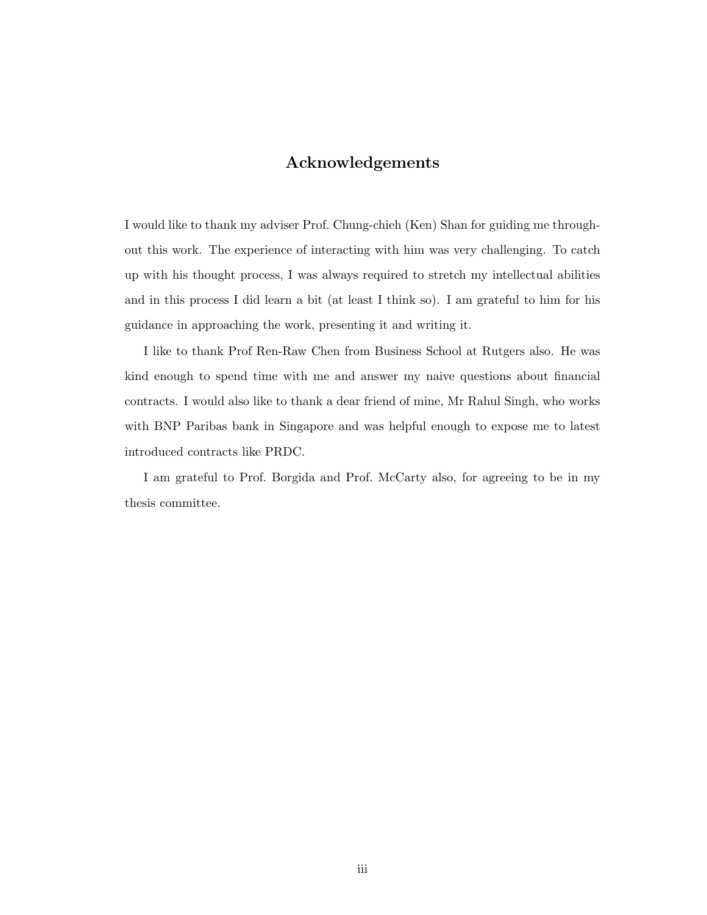## Acknowledgements

I would like to thank my adviser Prof. Chung-chieh (Ken) Shan for guiding me throughout this work. The experience of interacting with him was very challenging. To catch up with his thought process, I was always required to stretch my intellectual abilities and in this process I did learn a bit (at least I think so). I am grateful to him for his guidance in approaching the work, presenting it and writing it.

I like to thank Prof Ren-Raw Chen from Business School at Rutgers also. He was kind enough to spend time with me and answer my naive questions about financial contracts. I would also like to thank a dear friend of mine, Mr Rahul Singh, who works with BNP Paribas bank in Singapore and was helpful enough to expose me to latest introduced contracts like PRDC.

I am grateful to Prof. Borgida and Prof. McCarty also, for agreeing to be in my thesis committee.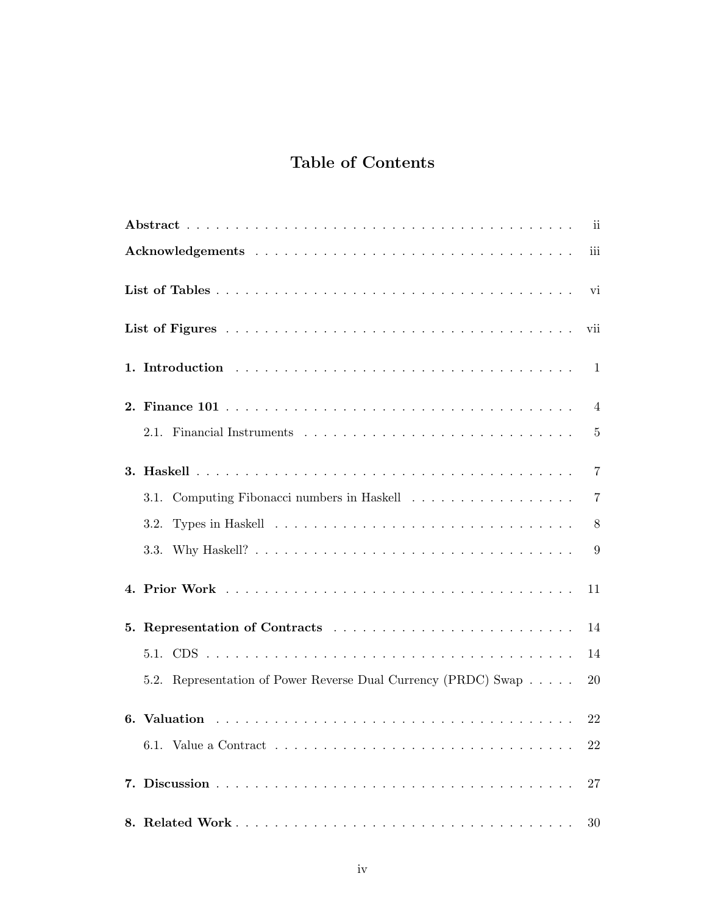# Table of Contents

|                                                                | iii            |
|----------------------------------------------------------------|----------------|
|                                                                | vi             |
|                                                                | vii            |
|                                                                |                |
|                                                                | $\overline{4}$ |
|                                                                | $\overline{5}$ |
|                                                                | 7              |
|                                                                | 7              |
| 3.2.                                                           | 8              |
| 3.3.                                                           | 9              |
|                                                                | 11             |
|                                                                | 14             |
|                                                                | 14             |
| 5.2. Representation of Power Reverse Dual Currency (PRDC) Swap | 20             |
|                                                                | 22             |
|                                                                | 22             |
|                                                                | 27             |
|                                                                | 30             |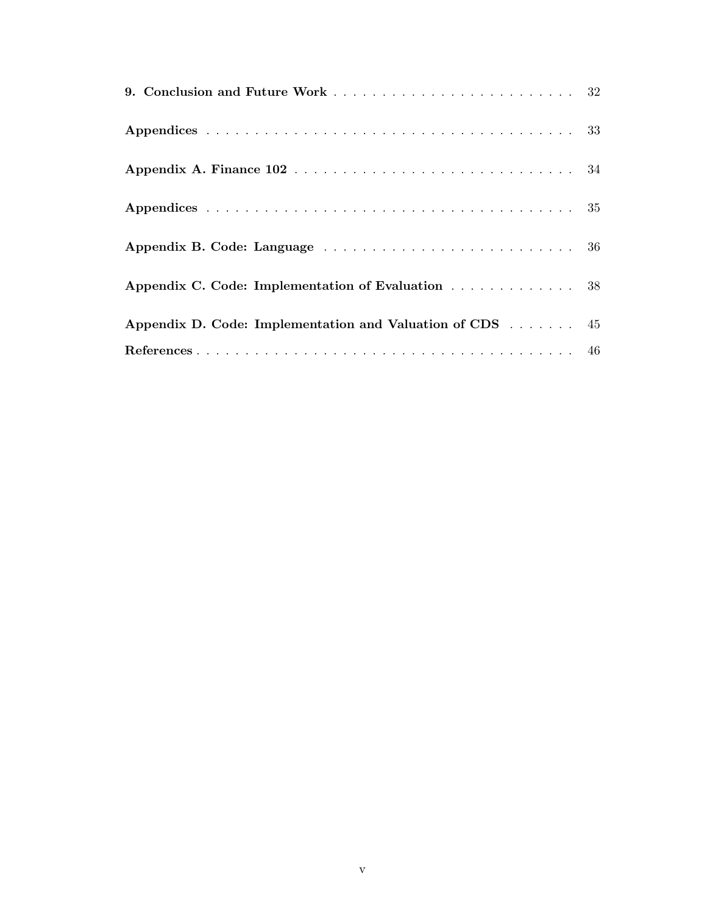| Appendix C. Code: Implementation of Evaluation 38        |  |  |  |  |
|----------------------------------------------------------|--|--|--|--|
| Appendix D. Code: Implementation and Valuation of CDS 45 |  |  |  |  |
|                                                          |  |  |  |  |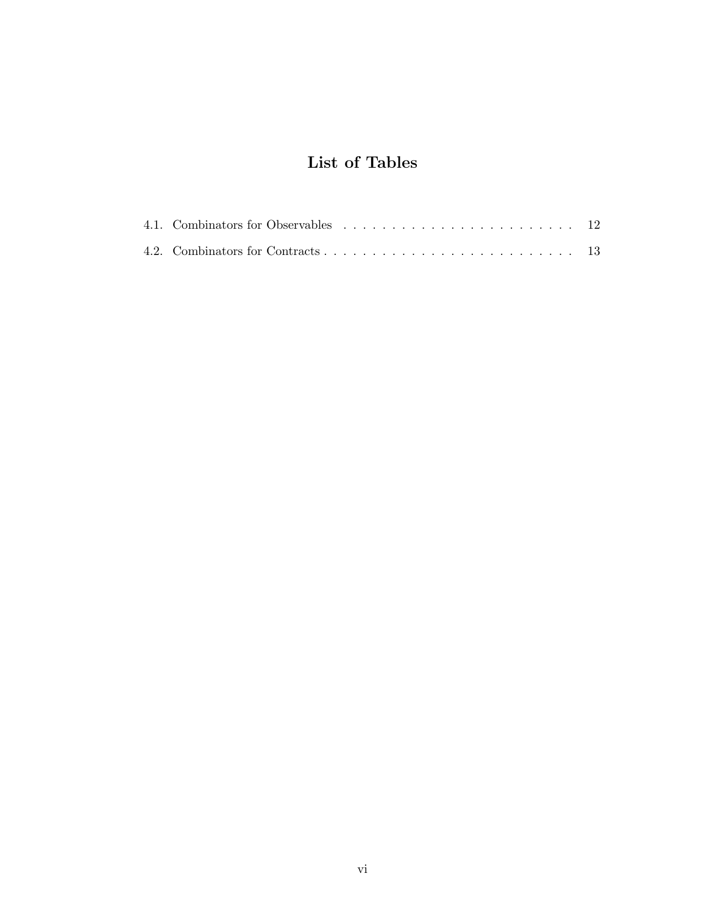# List of Tables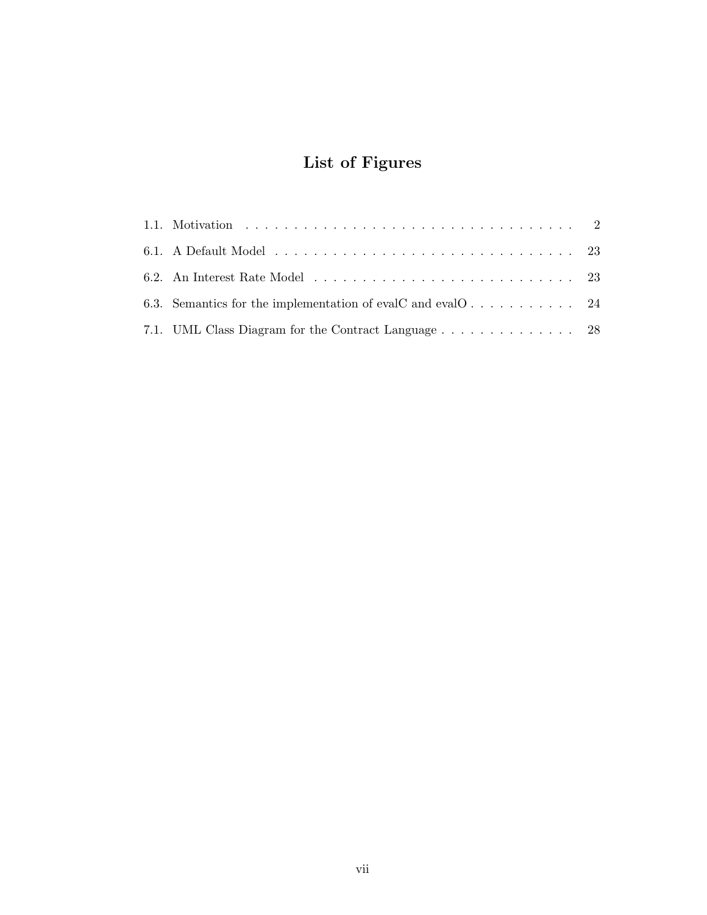# List of Figures

| 6.3. Semantics for the implementation of evalC and evalO 24 |  |
|-------------------------------------------------------------|--|
|                                                             |  |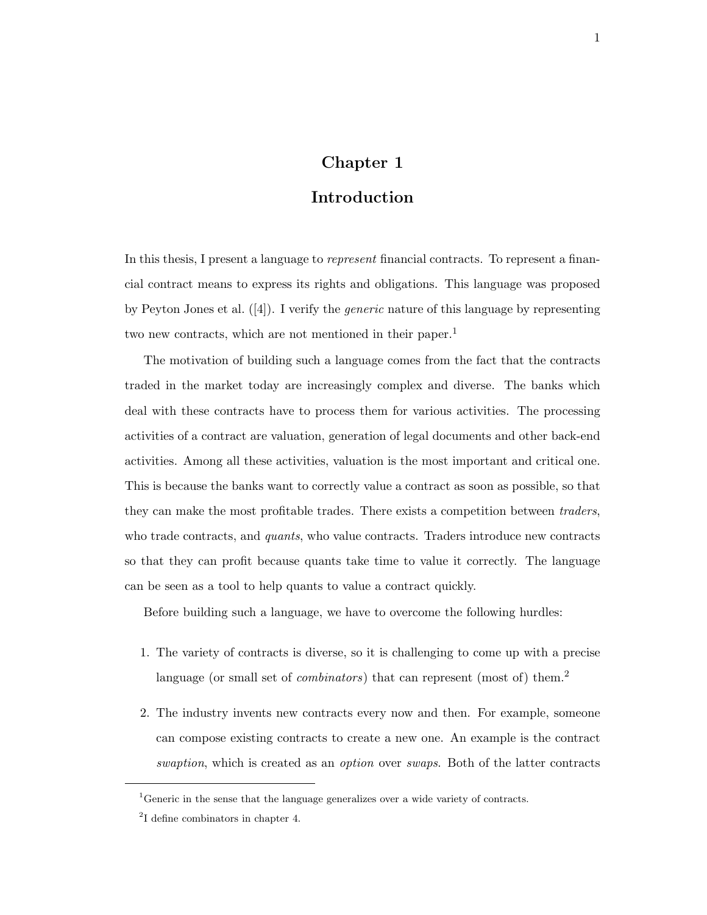## Chapter 1

## Introduction

In this thesis, I present a language to *represent* financial contracts. To represent a financial contract means to express its rights and obligations. This language was proposed by Peyton Jones et al.  $([4])$ . I verify the *generic* nature of this language by representing two new contracts, which are not mentioned in their paper.<sup>1</sup>

The motivation of building such a language comes from the fact that the contracts traded in the market today are increasingly complex and diverse. The banks which deal with these contracts have to process them for various activities. The processing activities of a contract are valuation, generation of legal documents and other back-end activities. Among all these activities, valuation is the most important and critical one. This is because the banks want to correctly value a contract as soon as possible, so that they can make the most profitable trades. There exists a competition between traders, who trade contracts, and *quants*, who value contracts. Traders introduce new contracts so that they can profit because quants take time to value it correctly. The language can be seen as a tool to help quants to value a contract quickly.

Before building such a language, we have to overcome the following hurdles:

- 1. The variety of contracts is diverse, so it is challenging to come up with a precise language (or small set of *combinators*) that can represent (most of) them.<sup>2</sup>
- 2. The industry invents new contracts every now and then. For example, someone can compose existing contracts to create a new one. An example is the contract swaption, which is created as an *option* over *swaps*. Both of the latter contracts

<sup>&</sup>lt;sup>1</sup>Generic in the sense that the language generalizes over a wide variety of contracts.

<sup>2</sup> I define combinators in chapter 4.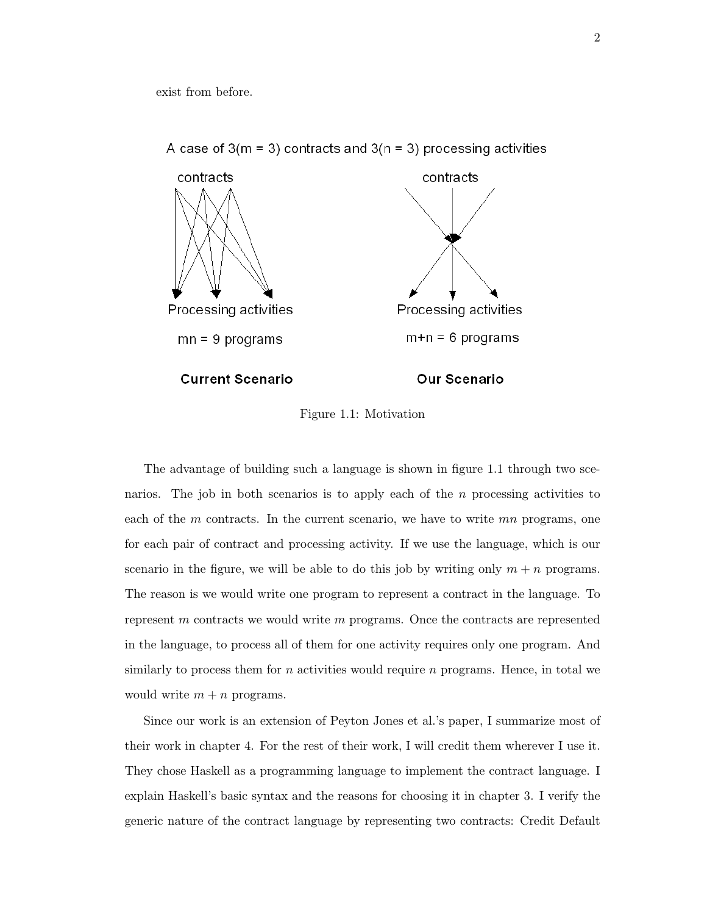exist from before.



A case of  $3(m = 3)$  contracts and  $3(n = 3)$  processing activities

Figure 1.1: Motivation

The advantage of building such a language is shown in figure 1.1 through two scenarios. The job in both scenarios is to apply each of the  $n$  processing activities to each of the  $m$  contracts. In the current scenario, we have to write  $mn$  programs, one for each pair of contract and processing activity. If we use the language, which is our scenario in the figure, we will be able to do this job by writing only  $m + n$  programs. The reason is we would write one program to represent a contract in the language. To represent m contracts we would write m programs. Once the contracts are represented in the language, to process all of them for one activity requires only one program. And similarly to process them for  $n$  activities would require  $n$  programs. Hence, in total we would write  $m + n$  programs.

Since our work is an extension of Peyton Jones et al.'s paper, I summarize most of their work in chapter 4. For the rest of their work, I will credit them wherever I use it. They chose Haskell as a programming language to implement the contract language. I explain Haskell's basic syntax and the reasons for choosing it in chapter 3. I verify the generic nature of the contract language by representing two contracts: Credit Default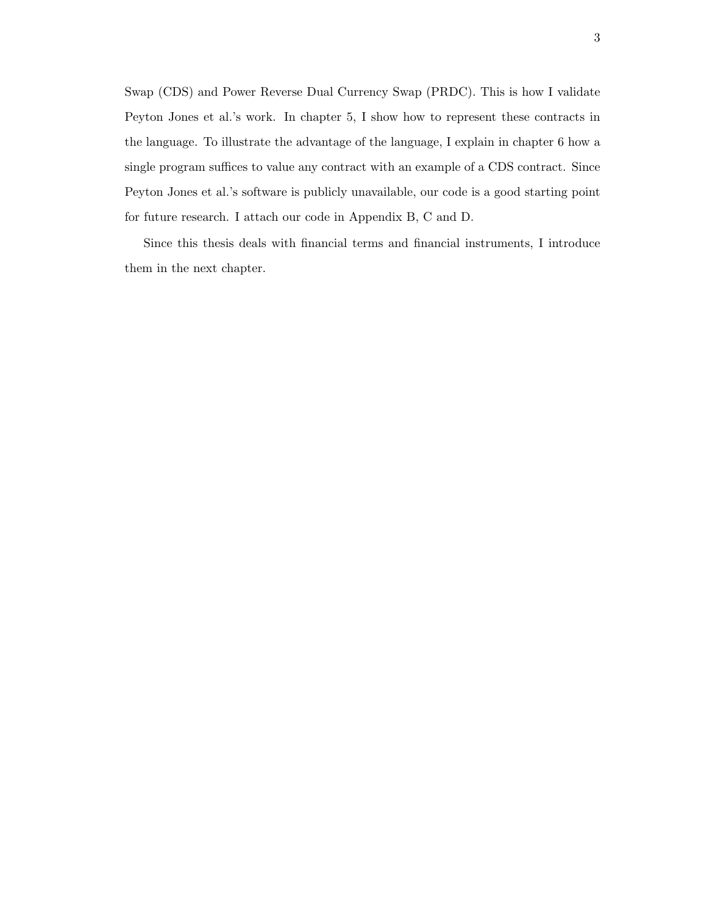Swap (CDS) and Power Reverse Dual Currency Swap (PRDC). This is how I validate Peyton Jones et al.'s work. In chapter 5, I show how to represent these contracts in the language. To illustrate the advantage of the language, I explain in chapter 6 how a single program suffices to value any contract with an example of a CDS contract. Since Peyton Jones et al.'s software is publicly unavailable, our code is a good starting point for future research. I attach our code in Appendix B, C and D.

Since this thesis deals with financial terms and financial instruments, I introduce them in the next chapter.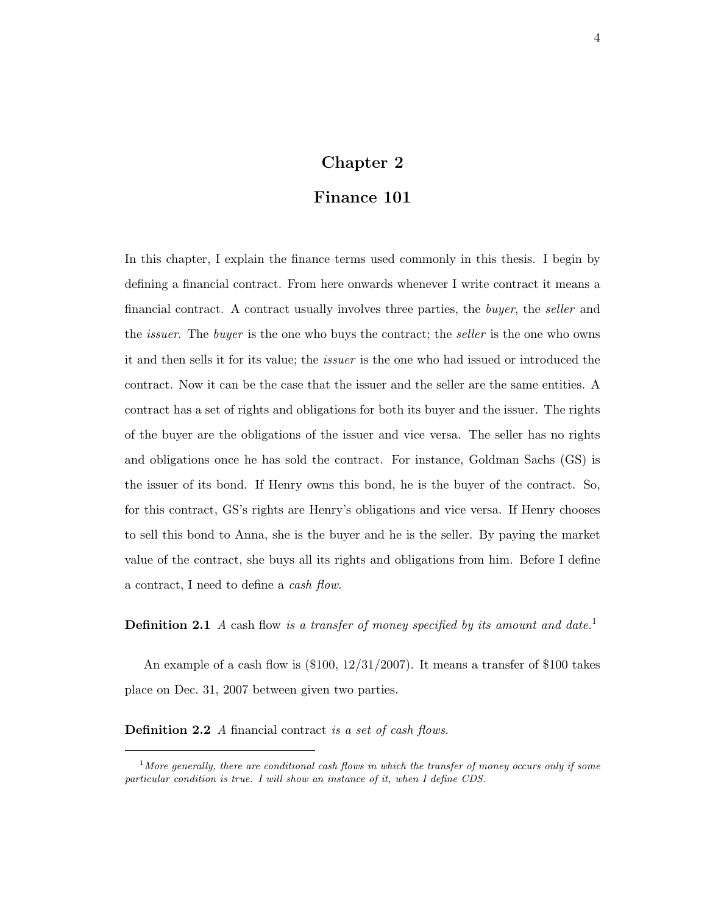## Chapter 2

## Finance 101

In this chapter, I explain the finance terms used commonly in this thesis. I begin by defining a financial contract. From here onwards whenever I write contract it means a financial contract. A contract usually involves three parties, the *buyer*, the *seller* and the *issuer*. The *buyer* is the one who buys the contract; the *seller* is the one who owns it and then sells it for its value; the issuer is the one who had issued or introduced the contract. Now it can be the case that the issuer and the seller are the same entities. A contract has a set of rights and obligations for both its buyer and the issuer. The rights of the buyer are the obligations of the issuer and vice versa. The seller has no rights and obligations once he has sold the contract. For instance, Goldman Sachs (GS) is the issuer of its bond. If Henry owns this bond, he is the buyer of the contract. So, for this contract, GS's rights are Henry's obligations and vice versa. If Henry chooses to sell this bond to Anna, she is the buyer and he is the seller. By paying the market value of the contract, she buys all its rights and obligations from him. Before I define a contract, I need to define a cash flow.

**Definition 2.1** A cash flow is a transfer of money specified by its amount and date.<sup>1</sup>

An example of a cash flow is  $(\$100, 12/31/2007)$ . It means a transfer of  $\$100$  takes place on Dec. 31, 2007 between given two parties.

Definition 2.2 A financial contract is a set of cash flows.

<sup>&</sup>lt;sup>1</sup>More generally, there are conditional cash flows in which the transfer of money occurs only if some particular condition is true. I will show an instance of it, when I define CDS.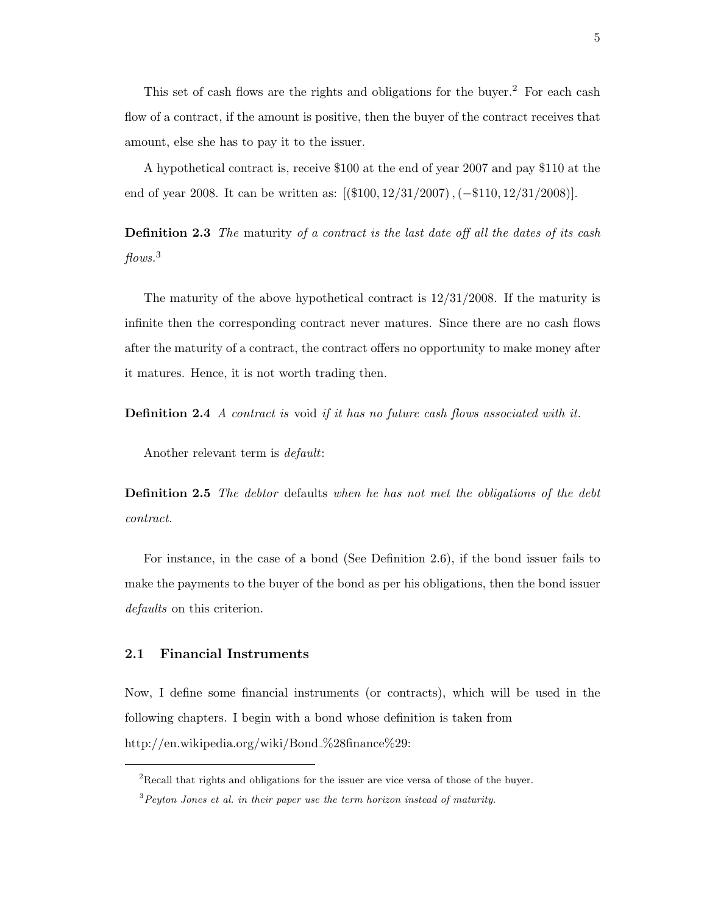This set of cash flows are the rights and obligations for the buyer.<sup>2</sup> For each cash flow of a contract, if the amount is positive, then the buyer of the contract receives that amount, else she has to pay it to the issuer.

A hypothetical contract is, receive \$100 at the end of year 2007 and pay \$110 at the end of year 2008. It can be written as:  $[(\$100, 12/31/2007), (-\$110, 12/31/2008)].$ 

**Definition 2.3** The maturity of a contract is the last date off all the dates of its cash flows.<sup>3</sup>

The maturity of the above hypothetical contract is 12/31/2008. If the maturity is infinite then the corresponding contract never matures. Since there are no cash flows after the maturity of a contract, the contract offers no opportunity to make money after it matures. Hence, it is not worth trading then.

Definition 2.4 A contract is void if it has no future cash flows associated with it.

Another relevant term is default:

Definition 2.5 The debtor defaults when he has not met the obligations of the debt contract.

For instance, in the case of a bond (See Definition 2.6), if the bond issuer fails to make the payments to the buyer of the bond as per his obligations, then the bond issuer defaults on this criterion.

#### 2.1 Financial Instruments

Now, I define some financial instruments (or contracts), which will be used in the following chapters. I begin with a bond whose definition is taken from http://en.wikipedia.org/wiki/Bond\_%28finance%29:

<sup>&</sup>lt;sup>2</sup>Recall that rights and obligations for the issuer are vice versa of those of the buyer.

 $3$ Peyton Jones et al. in their paper use the term horizon instead of maturity.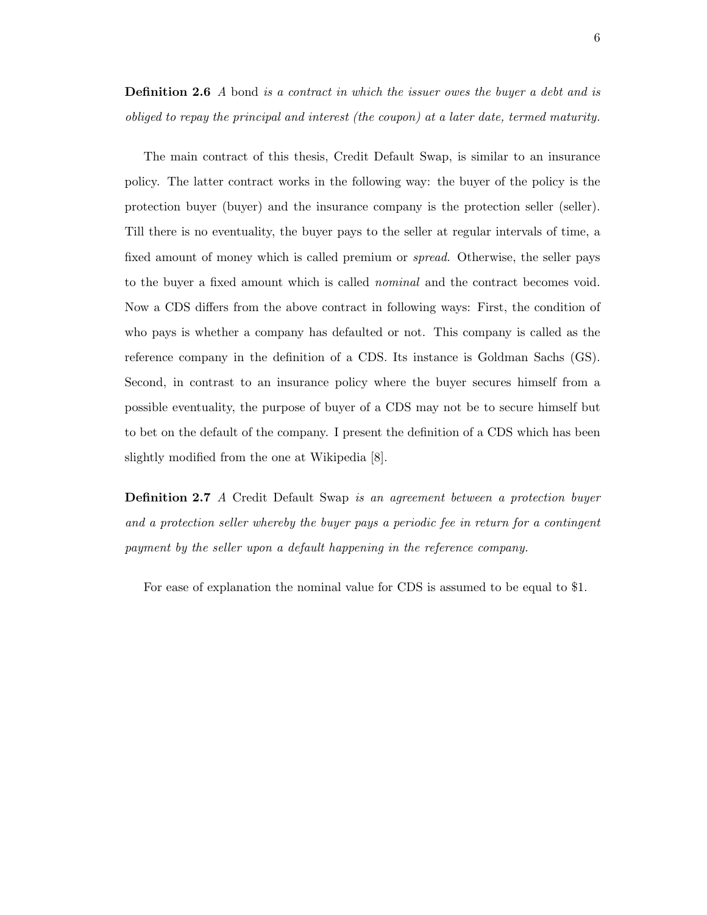**Definition 2.6** A bond is a contract in which the issuer owes the buyer a debt and is obliged to repay the principal and interest (the coupon) at a later date, termed maturity.

The main contract of this thesis, Credit Default Swap, is similar to an insurance policy. The latter contract works in the following way: the buyer of the policy is the protection buyer (buyer) and the insurance company is the protection seller (seller). Till there is no eventuality, the buyer pays to the seller at regular intervals of time, a fixed amount of money which is called premium or spread. Otherwise, the seller pays to the buyer a fixed amount which is called nominal and the contract becomes void. Now a CDS differs from the above contract in following ways: First, the condition of who pays is whether a company has defaulted or not. This company is called as the reference company in the definition of a CDS. Its instance is Goldman Sachs (GS). Second, in contrast to an insurance policy where the buyer secures himself from a possible eventuality, the purpose of buyer of a CDS may not be to secure himself but to bet on the default of the company. I present the definition of a CDS which has been slightly modified from the one at Wikipedia [8].

**Definition 2.7** A Credit Default Swap is an agreement between a protection buyer and a protection seller whereby the buyer pays a periodic fee in return for a contingent payment by the seller upon a default happening in the reference company.

For ease of explanation the nominal value for CDS is assumed to be equal to \$1.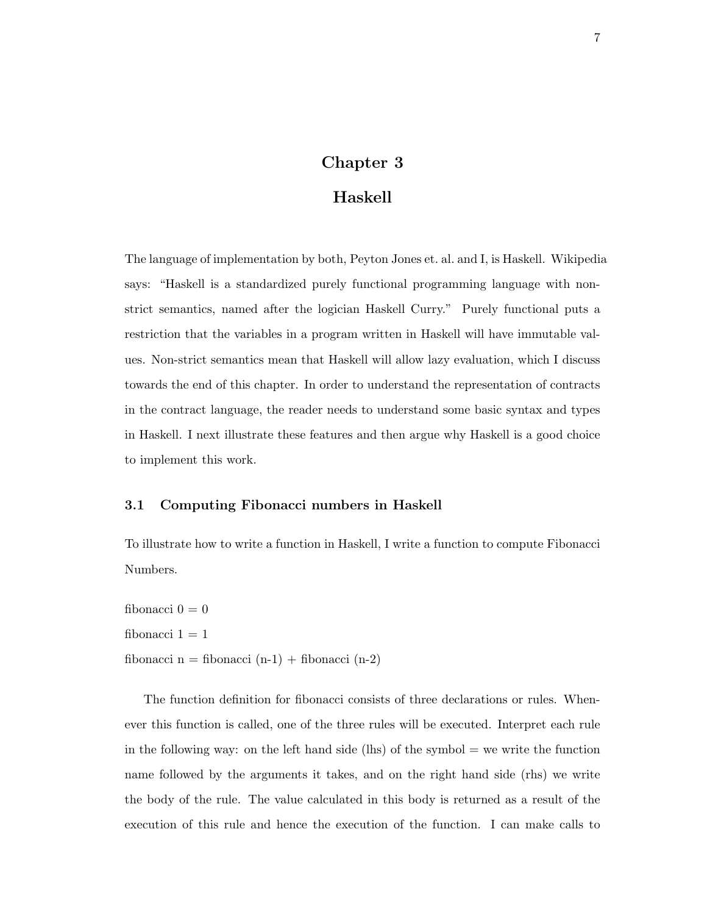## Chapter 3

## Haskell

The language of implementation by both, Peyton Jones et. al. and I, is Haskell. Wikipedia says: "Haskell is a standardized purely functional programming language with nonstrict semantics, named after the logician Haskell Curry." Purely functional puts a restriction that the variables in a program written in Haskell will have immutable values. Non-strict semantics mean that Haskell will allow lazy evaluation, which I discuss towards the end of this chapter. In order to understand the representation of contracts in the contract language, the reader needs to understand some basic syntax and types in Haskell. I next illustrate these features and then argue why Haskell is a good choice to implement this work.

#### 3.1 Computing Fibonacci numbers in Haskell

To illustrate how to write a function in Haskell, I write a function to compute Fibonacci Numbers.

fibonacci  $0 = 0$ fibonacci  $1 = 1$ fibonacci n = fibonacci  $(n-1)$  + fibonacci  $(n-2)$ 

The function definition for fibonacci consists of three declarations or rules. Whenever this function is called, one of the three rules will be executed. Interpret each rule in the following way: on the left hand side (lhs) of the symbol  $=$  we write the function name followed by the arguments it takes, and on the right hand side (rhs) we write the body of the rule. The value calculated in this body is returned as a result of the execution of this rule and hence the execution of the function. I can make calls to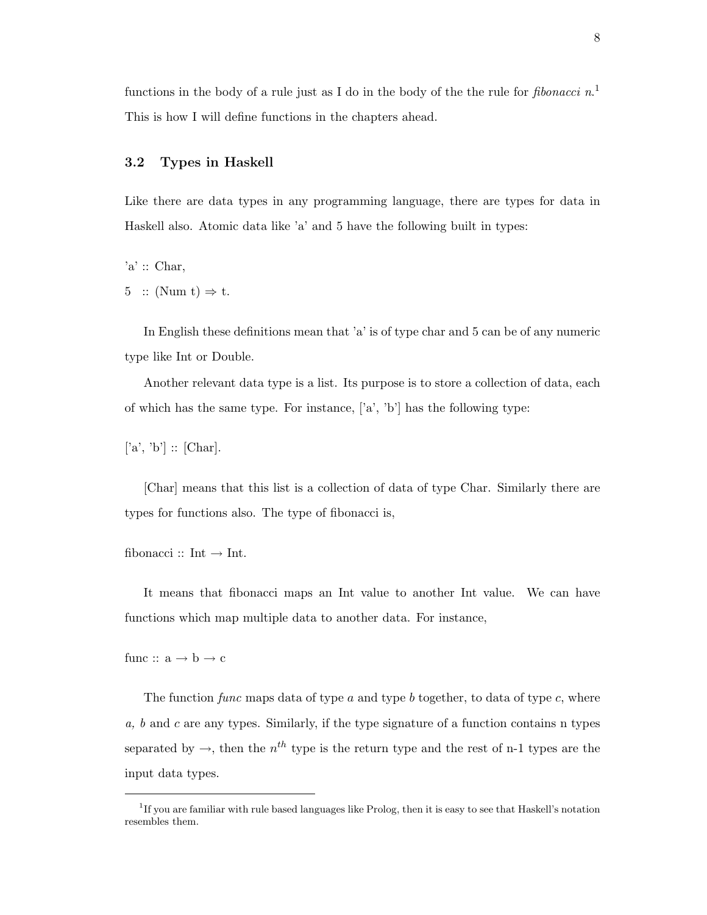functions in the body of a rule just as I do in the body of the the rule for *fibonacci*  $n<sup>1</sup>$ This is how I will define functions in the chapters ahead.

#### 3.2 Types in Haskell

Like there are data types in any programming language, there are types for data in Haskell also. Atomic data like 'a' and 5 have the following built in types:

 $a' :: Char$ 

5 :: (Num t)  $\Rightarrow$  t.

In English these definitions mean that 'a' is of type char and 5 can be of any numeric type like Int or Double.

Another relevant data type is a list. Its purpose is to store a collection of data, each of which has the same type. For instance,  $[a', b']$  has the following type:

 $[a', 'b'] :: [Char].$ 

[Char] means that this list is a collection of data of type Char. Similarly there are types for functions also. The type of fibonacci is,

fibonacci :: Int  $\rightarrow$  Int.

It means that fibonacci maps an Int value to another Int value. We can have functions which map multiple data to another data. For instance,

func ::  $a \rightarrow b \rightarrow c$ 

The function function function function function of type a and type b together, to data of type c, where  $a, b$  and  $c$  are any types. Similarly, if the type signature of a function contains n types separated by  $\rightarrow$ , then the  $n^{th}$  type is the return type and the rest of n-1 types are the input data types.

<sup>&</sup>lt;sup>1</sup>If you are familiar with rule based languages like Prolog, then it is easy to see that Haskell's notation resembles them.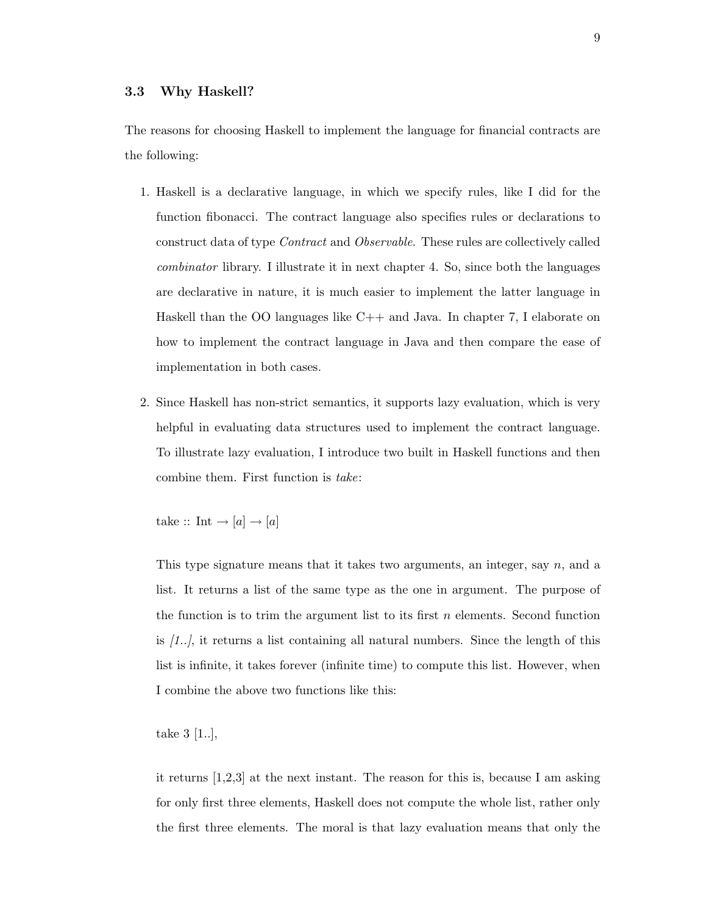The reasons for choosing Haskell to implement the language for financial contracts are the following:

- 1. Haskell is a declarative language, in which we specify rules, like I did for the function fibonacci. The contract language also specifies rules or declarations to construct data of type Contract and Observable. These rules are collectively called combinator library. I illustrate it in next chapter 4. So, since both the languages are declarative in nature, it is much easier to implement the latter language in Haskell than the OO languages like C++ and Java. In chapter 7, I elaborate on how to implement the contract language in Java and then compare the ease of implementation in both cases.
- 2. Since Haskell has non-strict semantics, it supports lazy evaluation, which is very helpful in evaluating data structures used to implement the contract language. To illustrate lazy evaluation, I introduce two built in Haskell functions and then combine them. First function is take:

take  $:: \text{ Int } \rightarrow [a] \rightarrow [a]$ 

This type signature means that it takes two arguments, an integer, say  $n$ , and a list. It returns a list of the same type as the one in argument. The purpose of the function is to trim the argument list to its first  $n$  elements. Second function is [1..], it returns a list containing all natural numbers. Since the length of this list is infinite, it takes forever (infinite time) to compute this list. However, when I combine the above two functions like this:

take 3 [1..],

it returns [1,2,3] at the next instant. The reason for this is, because I am asking for only first three elements, Haskell does not compute the whole list, rather only the first three elements. The moral is that lazy evaluation means that only the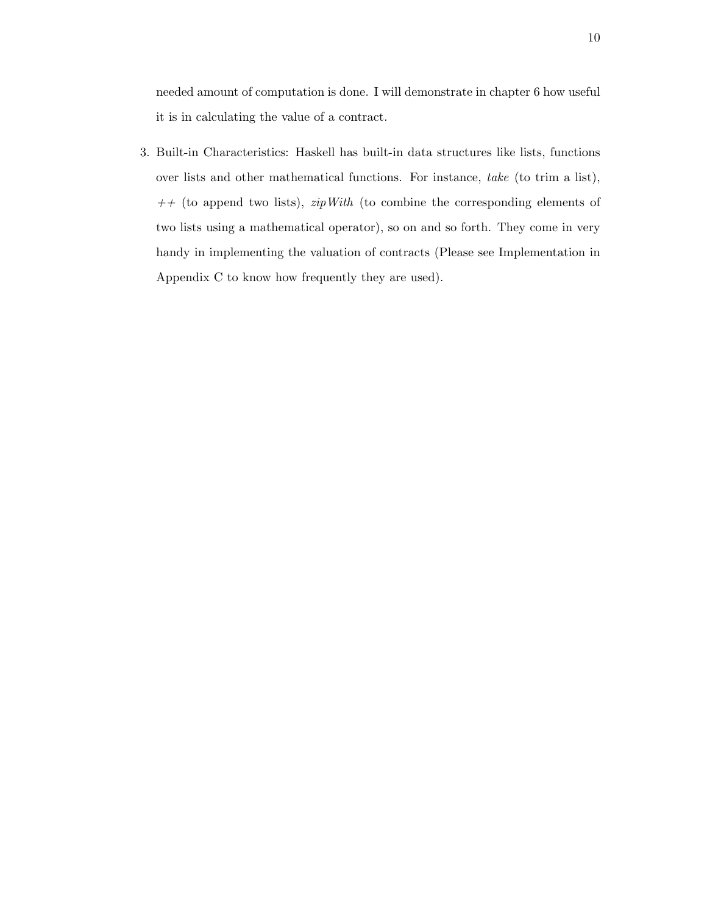needed amount of computation is done. I will demonstrate in chapter 6 how useful it is in calculating the value of a contract.

3. Built-in Characteristics: Haskell has built-in data structures like lists, functions over lists and other mathematical functions. For instance, take (to trim a list),  $++$  (to append two lists),  $zipWith$  (to combine the corresponding elements of two lists using a mathematical operator), so on and so forth. They come in very handy in implementing the valuation of contracts (Please see Implementation in Appendix C to know how frequently they are used).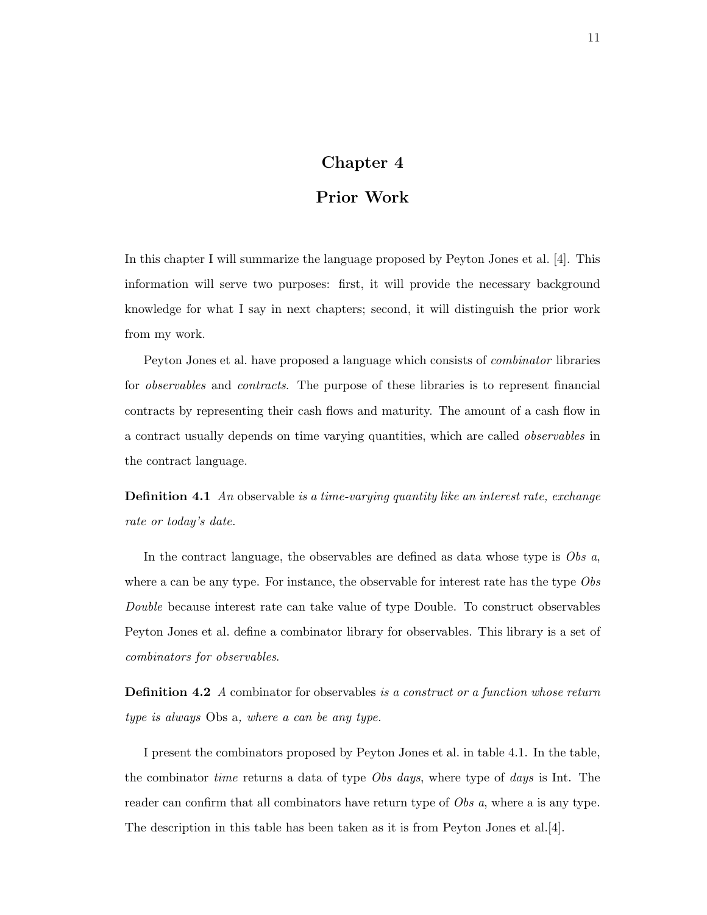## Chapter 4

## Prior Work

In this chapter I will summarize the language proposed by Peyton Jones et al. [4]. This information will serve two purposes: first, it will provide the necessary background knowledge for what I say in next chapters; second, it will distinguish the prior work from my work.

Peyton Jones et al. have proposed a language which consists of combinator libraries for *observables* and *contracts*. The purpose of these libraries is to represent financial contracts by representing their cash flows and maturity. The amount of a cash flow in a contract usually depends on time varying quantities, which are called observables in the contract language.

**Definition 4.1** An observable is a time-varying quantity like an interest rate, exchange rate or today's date.

In the contract language, the observables are defined as data whose type is Obs a, where a can be any type. For instance, the observable for interest rate has the type  $Obs$ Double because interest rate can take value of type Double. To construct observables Peyton Jones et al. define a combinator library for observables. This library is a set of combinators for observables.

**Definition 4.2** A combinator for observables is a construct or a function whose return type is always Obs a, where a can be any type.

I present the combinators proposed by Peyton Jones et al. in table 4.1. In the table, the combinator *time* returns a data of type *Obs days*, where type of *days* is Int. The reader can confirm that all combinators have return type of *Obs a*, where a is any type. The description in this table has been taken as it is from Peyton Jones et al.[4].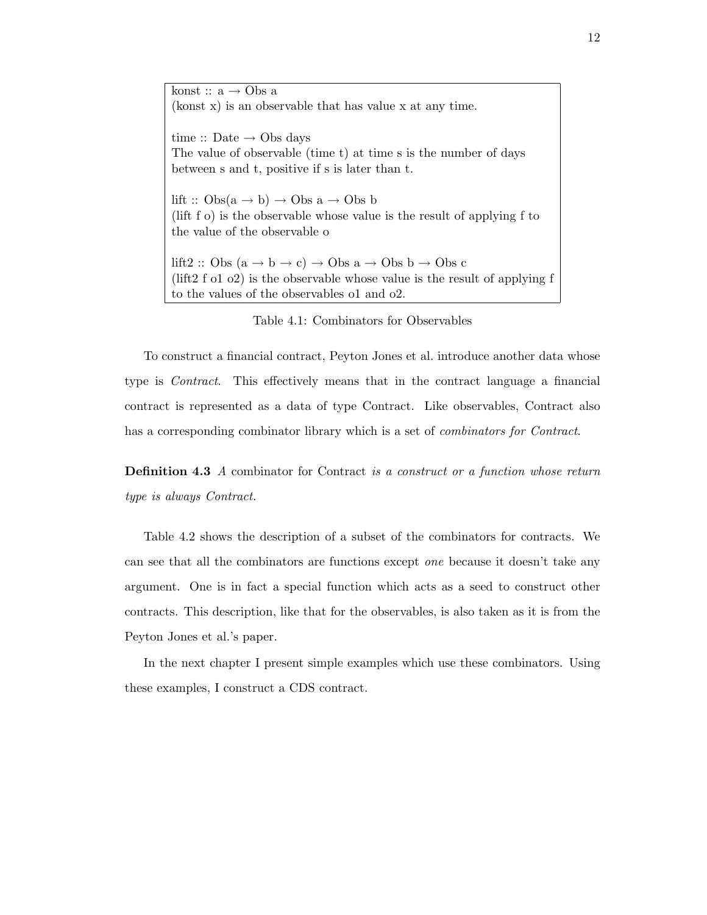konst ::  $a \rightarrow \text{Obs } a$ (konst x) is an observable that has value x at any time.

time  $\therefore$  Date  $\rightarrow$  Obs days The value of observable (time t) at time s is the number of days between s and t, positive if s is later than t.

lift ::  $Obs(a \rightarrow b) \rightarrow Obs a \rightarrow Obs b$ (lift f o) is the observable whose value is the result of applying f to the value of the observable o

lift2 :: Obs  $(a \rightarrow b \rightarrow c) \rightarrow$  Obs  $a \rightarrow$  Obs  $b \rightarrow$  Obs c (lift2 f o1 o2) is the observable whose value is the result of applying f to the values of the observables o1 and o2.

Table 4.1: Combinators for Observables

To construct a financial contract, Peyton Jones et al. introduce another data whose type is Contract. This effectively means that in the contract language a financial contract is represented as a data of type Contract. Like observables, Contract also has a corresponding combinator library which is a set of *combinators for Contract*.

**Definition 4.3** A combinator for Contract is a construct or a function whose return type is always Contract.

Table 4.2 shows the description of a subset of the combinators for contracts. We can see that all the combinators are functions except one because it doesn't take any argument. One is in fact a special function which acts as a seed to construct other contracts. This description, like that for the observables, is also taken as it is from the Peyton Jones et al.'s paper.

In the next chapter I present simple examples which use these combinators. Using these examples, I construct a CDS contract.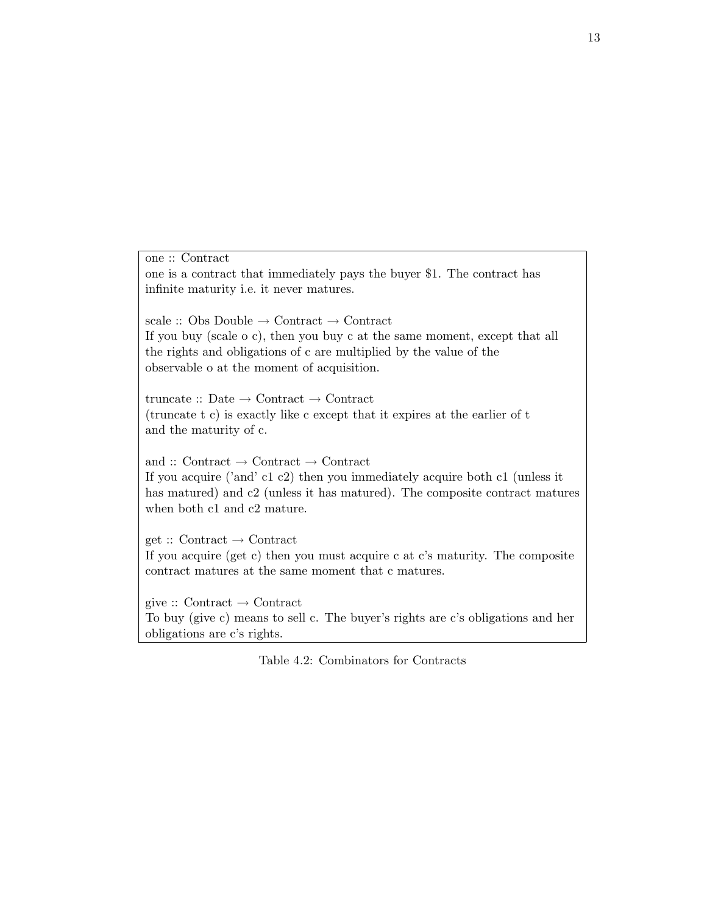one :: Contract one is a contract that immediately pays the buyer \$1. The contract has infinite maturity i.e. it never matures. scale  $\therefore$  Obs Double  $\rightarrow$  Contract  $\rightarrow$  Contract If you buy (scale o c), then you buy c at the same moment, except that all the rights and obligations of c are multiplied by the value of the observable o at the moment of acquisition. truncate  $\therefore$  Date  $\rightarrow$  Contract  $\rightarrow$  Contract (truncate t c) is exactly like c except that it expires at the earlier of t and the maturity of c. and :: Contract  $\rightarrow$  Contract  $\rightarrow$  Contract If you acquire ('and' c1 c2) then you immediately acquire both c1 (unless it has matured) and c2 (unless it has matured). The composite contract matures when both c1 and c2 mature.  $get :: Contract \rightarrow Contract$ If you acquire (get c) then you must acquire c at c's maturity. The composite contract matures at the same moment that c matures.

give  $::$  Contract  $\rightarrow$  Contract To buy (give c) means to sell c. The buyer's rights are c's obligations and her obligations are c's rights.

Table 4.2: Combinators for Contracts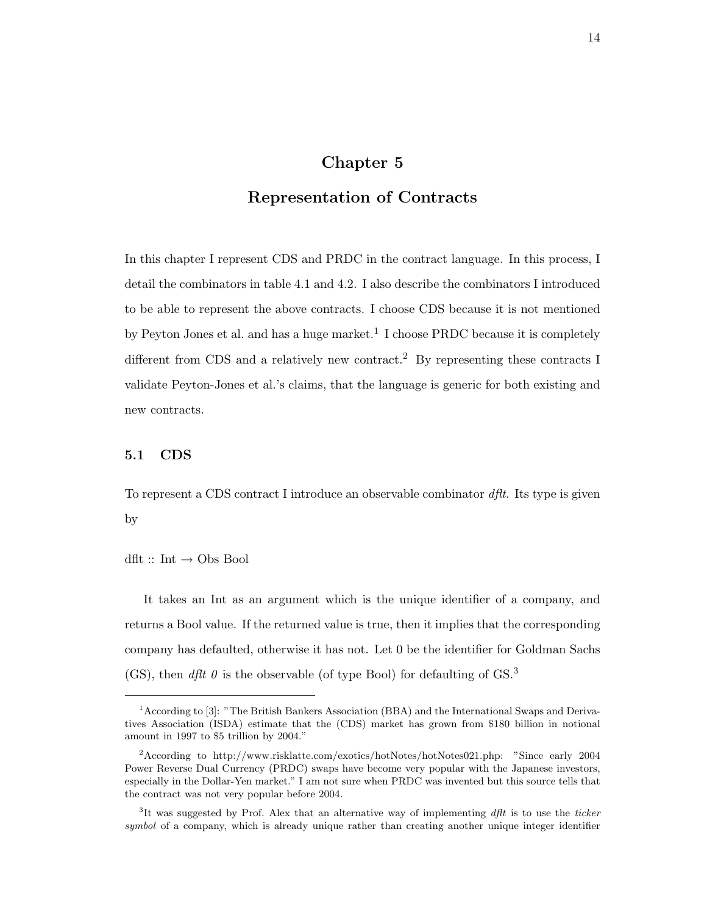### Chapter 5

## Representation of Contracts

In this chapter I represent CDS and PRDC in the contract language. In this process, I detail the combinators in table 4.1 and 4.2. I also describe the combinators I introduced to be able to represent the above contracts. I choose CDS because it is not mentioned by Peyton Jones et al. and has a huge market.<sup>1</sup> I choose PRDC because it is completely different from CDS and a relatively new contract.<sup>2</sup> By representing these contracts I validate Peyton-Jones et al.'s claims, that the language is generic for both existing and new contracts.

#### 5.1 CDS

To represent a CDS contract I introduce an observable combinator dflt. Its type is given by

 $\mathop{\rm d\mathit{f\mathit{lt}}}\nolimits$  :: Int $\to$  Obs Bool

It takes an Int as an argument which is the unique identifier of a company, and returns a Bool value. If the returned value is true, then it implies that the corresponding company has defaulted, otherwise it has not. Let 0 be the identifier for Goldman Sachs (GS), then *dflt*  $\theta$  is the observable (of type Bool) for defaulting of GS.<sup>3</sup>

<sup>1</sup>According to [3]: "The British Bankers Association (BBA) and the International Swaps and Derivatives Association (ISDA) estimate that the (CDS) market has grown from \$180 billion in notional amount in 1997 to \$5 trillion by 2004."

<sup>2</sup>According to http://www.risklatte.com/exotics/hotNotes/hotNotes021.php: "Since early 2004 Power Reverse Dual Currency (PRDC) swaps have become very popular with the Japanese investors, especially in the Dollar-Yen market." I am not sure when PRDC was invented but this source tells that the contract was not very popular before 2004.

<sup>&</sup>lt;sup>3</sup>It was suggested by Prof. Alex that an alternative way of implementing *dflt* is to use the ticker symbol of a company, which is already unique rather than creating another unique integer identifier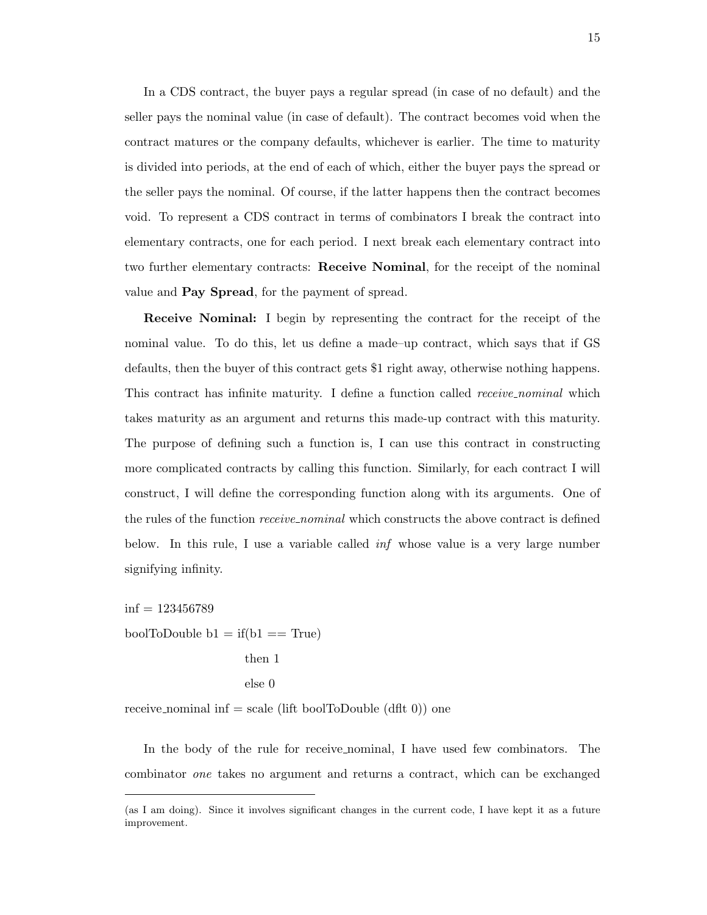In a CDS contract, the buyer pays a regular spread (in case of no default) and the seller pays the nominal value (in case of default). The contract becomes void when the contract matures or the company defaults, whichever is earlier. The time to maturity is divided into periods, at the end of each of which, either the buyer pays the spread or the seller pays the nominal. Of course, if the latter happens then the contract becomes void. To represent a CDS contract in terms of combinators I break the contract into elementary contracts, one for each period. I next break each elementary contract into two further elementary contracts: Receive Nominal, for the receipt of the nominal value and **Pay Spread**, for the payment of spread.

Receive Nominal: I begin by representing the contract for the receipt of the nominal value. To do this, let us define a made–up contract, which says that if GS defaults, then the buyer of this contract gets \$1 right away, otherwise nothing happens. This contract has infinite maturity. I define a function called *receive\_nominal* which takes maturity as an argument and returns this made-up contract with this maturity. The purpose of defining such a function is, I can use this contract in constructing more complicated contracts by calling this function. Similarly, for each contract I will construct, I will define the corresponding function along with its arguments. One of the rules of the function *receive-nominal* which constructs the above contract is defined below. In this rule, I use a variable called inf whose value is a very large number signifying infinity.

 $\inf = 123456789$ boolToDouble  $b1 = if(b1 == True)$ then 1

receive nominal inf  $=$  scale (lift boolToDouble (dflt 0)) one

In the body of the rule for receive nominal, I have used few combinators. The combinator one takes no argument and returns a contract, which can be exchanged

else 0

<sup>(</sup>as I am doing). Since it involves significant changes in the current code, I have kept it as a future improvement.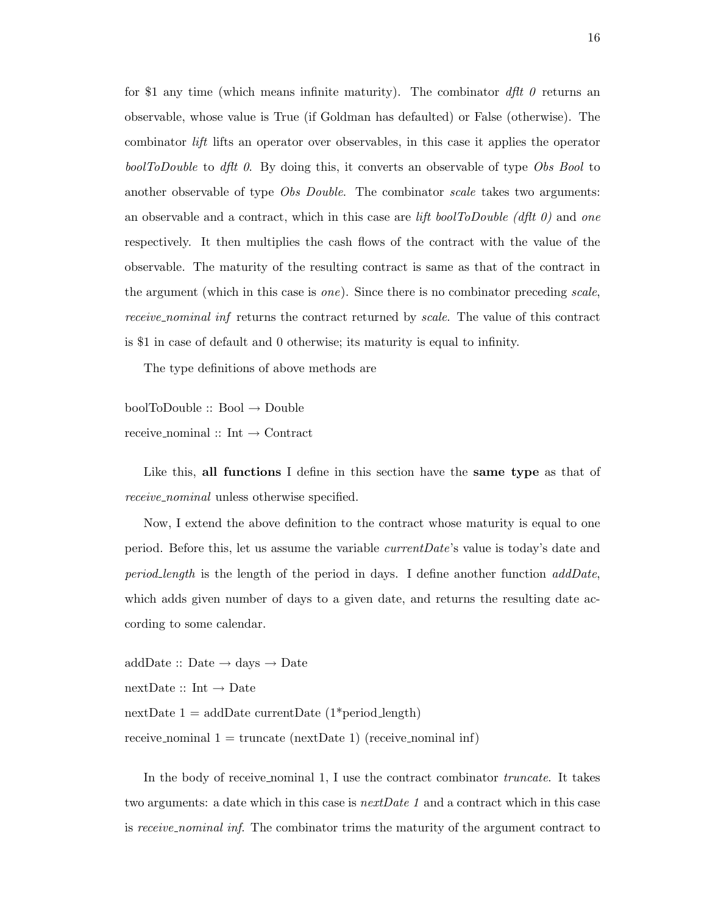for \$1 any time (which means infinite maturity). The combinator  $\partial f/t$   $\theta$  returns an observable, whose value is True (if Goldman has defaulted) or False (otherwise). The combinator lift lifts an operator over observables, in this case it applies the operator boolToDouble to dflt 0. By doing this, it converts an observable of type Obs Bool to another observable of type *Obs Double*. The combinator *scale* takes two arguments: an observable and a contract, which in this case are lift boolToDouble (dflt 0) and one respectively. It then multiplies the cash flows of the contract with the value of the observable. The maturity of the resulting contract is same as that of the contract in the argument (which in this case is *one*). Since there is no combinator preceding scale, receive nominal inf returns the contract returned by scale. The value of this contract is \$1 in case of default and 0 otherwise; its maturity is equal to infinity.

The type definitions of above methods are

 $boolToDouble :: Bool \rightarrow Double$ 

receive nominal :: Int → Contract

Like this, all functions I define in this section have the same type as that of receive\_nominal unless otherwise specified.

Now, I extend the above definition to the contract whose maturity is equal to one period. Before this, let us assume the variable currentDate's value is today's date and period length is the length of the period in days. I define another function  $addDate$ , which adds given number of days to a given date, and returns the resulting date according to some calendar.

 $addDate :: Date \rightarrow days \rightarrow Date$  $nextDate :: Int \rightarrow Date$ nextDate  $1 = \text{addDate currentDate}$  (1\*period\_length) receive nominal  $1 = \text{truncated}$  (receive nominal inf)

In the body of receive nominal 1, I use the contract combinator *truncate*. It takes two arguments: a date which in this case is *nextDate 1* and a contract which in this case is receive nominal inf. The combinator trims the maturity of the argument contract to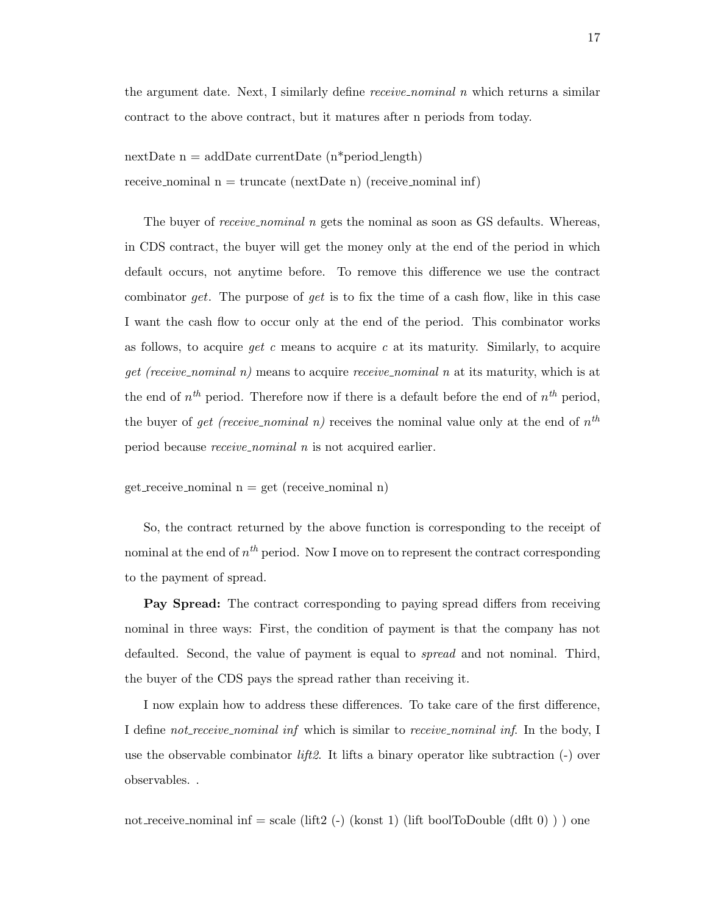the argument date. Next, I similarly define  $receive\_nominal$  *n* which returns a similar contract to the above contract, but it matures after n periods from today.

 $nextDate$  n = addDate currentDate (n\*period\_length) receive nominal  $n = \text{truncated}(\text{nextDate} n)$  (receive nominal inf)

The buyer of *receive\_nominal n* gets the nominal as soon as GS defaults. Whereas, in CDS contract, the buyer will get the money only at the end of the period in which default occurs, not anytime before. To remove this difference we use the contract combinator get. The purpose of get is to fix the time of a cash flow, like in this case I want the cash flow to occur only at the end of the period. This combinator works as follows, to acquire *qet c* means to acquire c at its maturity. Similarly, to acquire *get (receive nominal n)* means to acquire *receive nominal n* at its maturity, which is at the end of  $n^{th}$  period. Therefore now if there is a default before the end of  $n^{th}$  period, the buyer of *get (receive\_nominal n)* receives the nominal value only at the end of  $n^{th}$ period because receive nominal n is not acquired earlier.

 $get\_receive\_nominal \, n = get (receive\_nominal \, n)$ 

So, the contract returned by the above function is corresponding to the receipt of nominal at the end of  $n^{th}$  period. Now I move on to represent the contract corresponding to the payment of spread.

Pay Spread: The contract corresponding to paying spread differs from receiving nominal in three ways: First, the condition of payment is that the company has not defaulted. Second, the value of payment is equal to spread and not nominal. Third, the buyer of the CDS pays the spread rather than receiving it.

I now explain how to address these differences. To take care of the first difference, I define not receive nominal inf which is similar to receive nominal inf. In the body, I use the observable combinator *lift2*. It lifts a binary operator like subtraction  $(-)$  over observables. .

not receive nominal inf = scale (lift2 (-) (konst 1) (lift boolToDouble (dflt 0)) ) one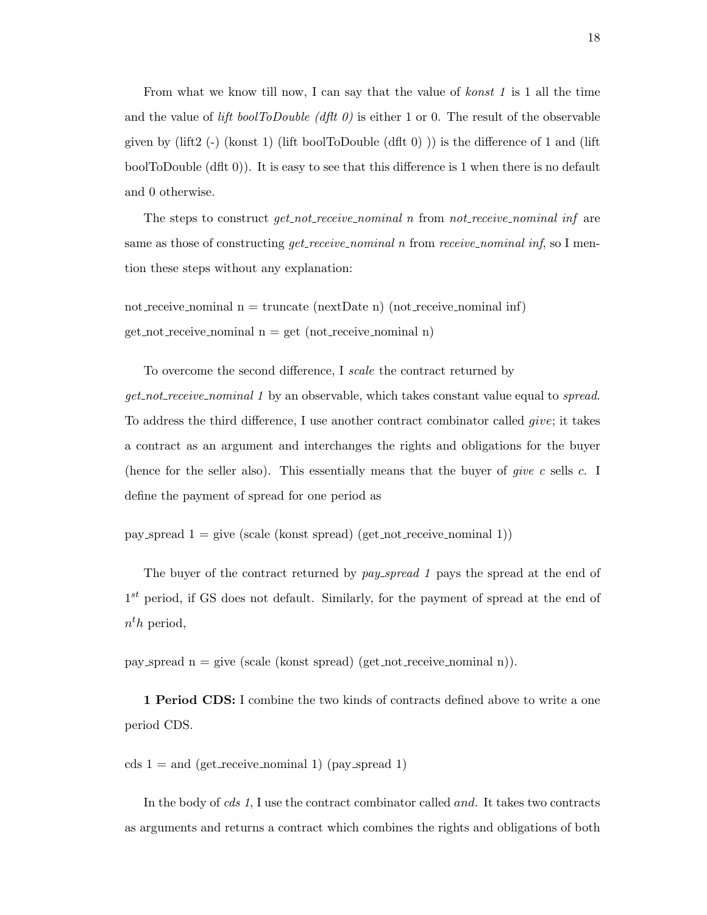From what we know till now, I can say that the value of konst 1 is 1 all the time and the value of lift boolToDouble (dflt 0) is either 1 or 0. The result of the observable given by (lift2 (-) (konst 1) (lift boolToDouble (dflt 0))) is the difference of 1 and (lift boolToDouble (dflt 0)). It is easy to see that this difference is 1 when there is no default and 0 otherwise.

The steps to construct  $qet\_not\_receive\_nominal$  n from not receive nominal inf are same as those of constructing *get\_receive\_nominal n* from *receive\_nominal inf*, so I mention these steps without any explanation:

not receive nominal  $n = \text{truncated}$  (next Date n) (not receive nominal inf)  $get\_not\_receive\_nominal \, n = get \, (not\_receive\_nominal \, n)$ 

To overcome the second difference, I scale the contract returned by get not receive nominal 1 by an observable, which takes constant value equal to spread. To address the third difference, I use another contract combinator called give; it takes a contract as an argument and interchanges the rights and obligations for the buyer (hence for the seller also). This essentially means that the buyer of *give c* sells c. I define the payment of spread for one period as

pay spread  $1 = \text{give}$  (scale (konst spread) (get not receive nominal 1))

The buyer of the contract returned by pay spread 1 pays the spread at the end of  $1<sup>st</sup>$  period, if GS does not default. Similarly, for the payment of spread at the end of  $n^th$  period,

pay spread  $n = give$  (scale (konst spread) (get not receive nominal n)).

1 Period CDS: I combine the two kinds of contracts defined above to write a one period CDS.

cds  $1 =$  and (get receive nominal 1) (pay spread 1)

In the body of cds 1, I use the contract combinator called and. It takes two contracts as arguments and returns a contract which combines the rights and obligations of both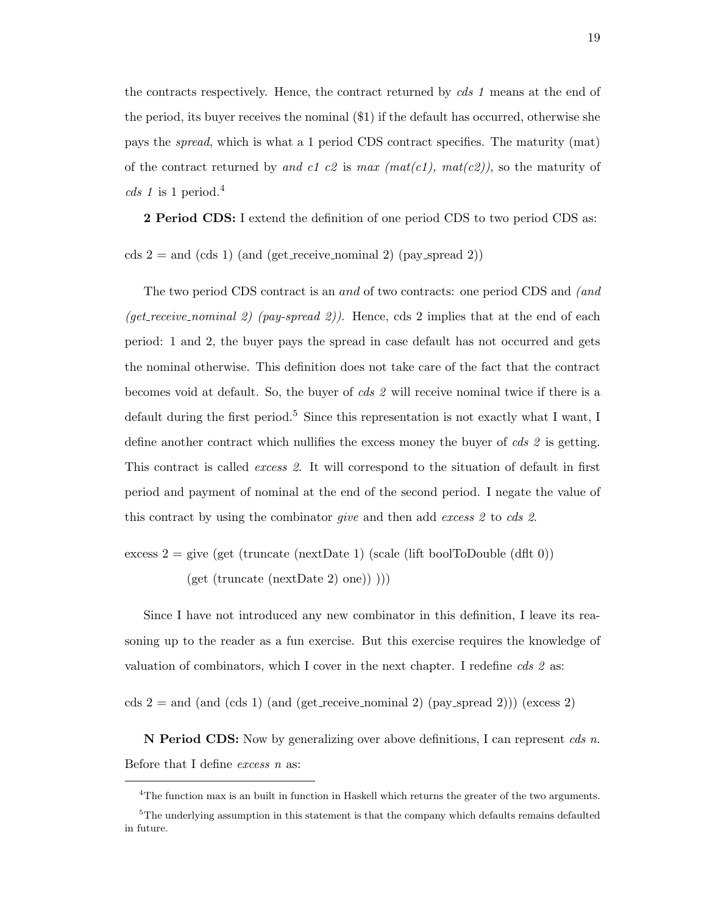the contracts respectively. Hence, the contract returned by cds 1 means at the end of the period, its buyer receives the nominal (\$1) if the default has occurred, otherwise she pays the spread, which is what a 1 period CDS contract specifies. The maturity (mat) of the contract returned by and c1 c2 is max (mat(c1), mat(c2)), so the maturity of cds 1 is 1 period.<sup>4</sup>

2 Period CDS: I extend the definition of one period CDS to two period CDS as:

cds  $2 =$  and (cds 1) (and (get receive nominal 2) (pay spread 2))

The two period CDS contract is an and of two contracts: one period CDS and (and (get receive nominal 2) (pay-spread 2)). Hence, cds 2 implies that at the end of each period: 1 and 2, the buyer pays the spread in case default has not occurred and gets the nominal otherwise. This definition does not take care of the fact that the contract becomes void at default. So, the buyer of cds 2 will receive nominal twice if there is a default during the first period.<sup>5</sup> Since this representation is not exactly what I want, I define another contract which nullifies the excess money the buyer of cds 2 is getting. This contract is called excess 2. It will correspond to the situation of default in first period and payment of nominal at the end of the second period. I negate the value of this contract by using the combinator *give* and then add *excess 2* to *cds 2*.

excess  $2 = \text{give (get (truncated) (scale (lift boolToDouble (dft 0))$ 

 $(get (truncated (nextDate 2) one)))$ 

Since I have not introduced any new combinator in this definition, I leave its reasoning up to the reader as a fun exercise. But this exercise requires the knowledge of valuation of combinators, which I cover in the next chapter. I redefine  $\text{cds } 2$  as:

cds  $2 =$  and (and (cds 1) (and (get receive nominal 2) (pay spread 2))) (excess 2)

**N Period CDS:** Now by generalizing over above definitions, I can represent *cds n*. Before that I define excess n as:

<sup>&</sup>lt;sup>4</sup>The function max is an built in function in Haskell which returns the greater of the two arguments.

 $5$ The underlying assumption in this statement is that the company which defaults remains defaulted in future.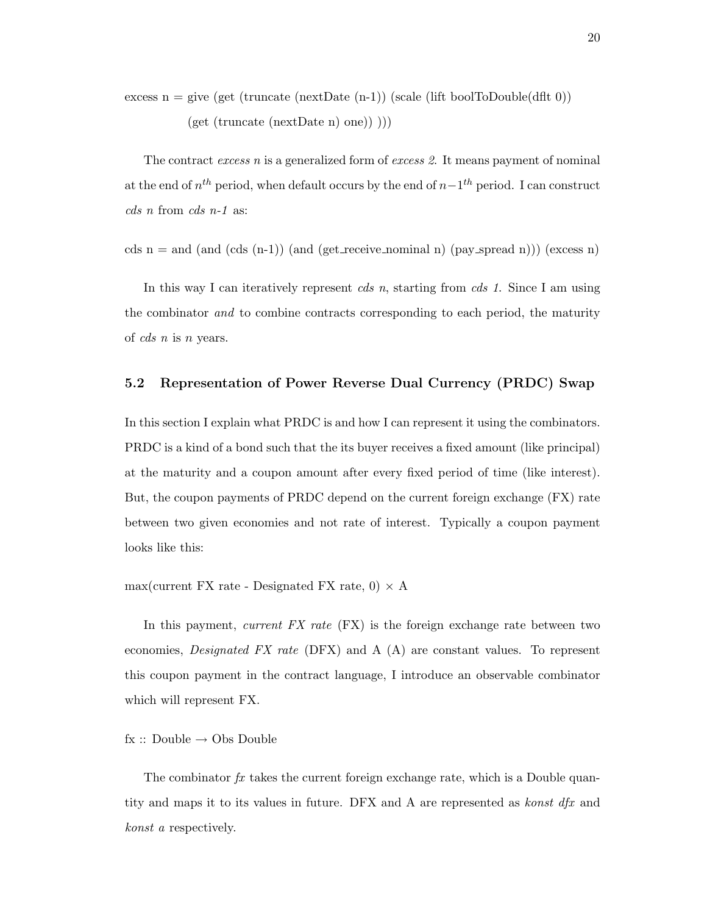excess  $n = give (get (truncated (nextDate (n-1)) (scale (lift boolToDouble(dfft 0)))$ (get (truncate (nextDate n) one)) )))

The contract excess n is a generalized form of excess 2. It means payment of nominal at the end of  $n^{th}$  period, when default occurs by the end of  $n-1^{th}$  period. I can construct cds n from cds n-1 as:

cds n = and (and (cds  $(n-1)$ ) (and (get receive nominal n) (pay spread n))) (excess n)

In this way I can iteratively represent *cds n*, starting from *cds 1*. Since I am using the combinator and to combine contracts corresponding to each period, the maturity of cds n is n years.

#### 5.2 Representation of Power Reverse Dual Currency (PRDC) Swap

In this section I explain what PRDC is and how I can represent it using the combinators. PRDC is a kind of a bond such that the its buyer receives a fixed amount (like principal) at the maturity and a coupon amount after every fixed period of time (like interest). But, the coupon payments of PRDC depend on the current foreign exchange (FX) rate between two given economies and not rate of interest. Typically a coupon payment looks like this:

 $max(current FX rate - Designated FX rate, 0) \times A$ 

In this payment, current  $FX$  rate  $(FX)$  is the foreign exchange rate between two economies, Designated FX rate (DFX) and A (A) are constant values. To represent this coupon payment in the contract language, I introduce an observable combinator which will represent FX.

 $fx :: Double \rightarrow Obs Double$ 

The combinator  $fx$  takes the current foreign exchange rate, which is a Double quantity and maps it to its values in future. DFX and A are represented as  $konst$  dfx and konst a respectively.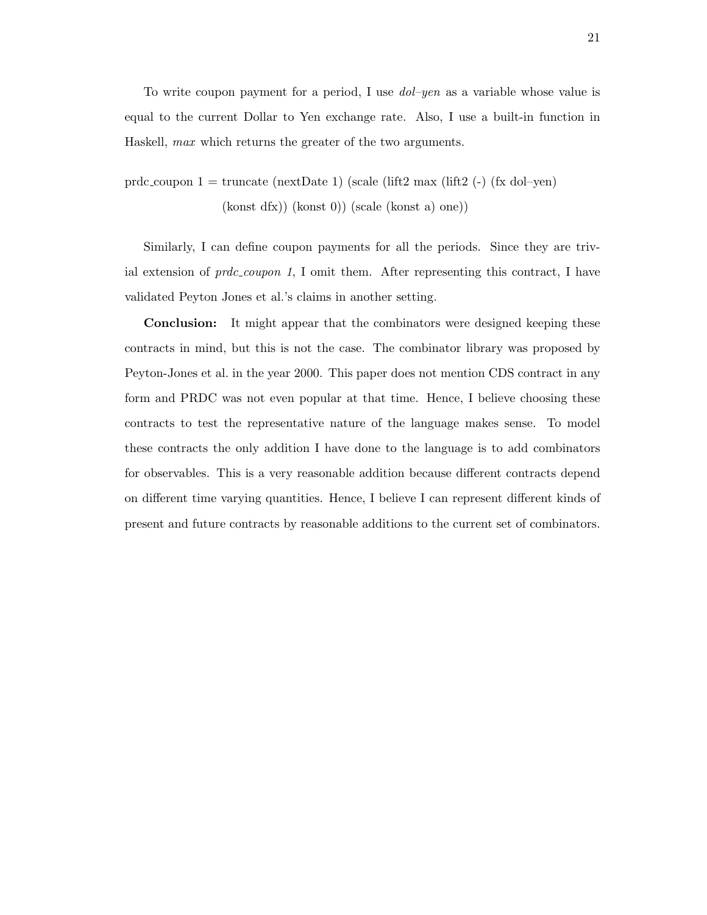To write coupon payment for a period, I use  $dol$ -yen as a variable whose value is equal to the current Dollar to Yen exchange rate. Also, I use a built-in function in Haskell, max which returns the greater of the two arguments.

prdc coupon  $1 = \text{truncated}$  (nextDate 1) (scale (lift2 max (lift2 (-) (fx dol–yen) (konst dfx)) (konst 0)) (scale (konst a) one))

Similarly, I can define coupon payments for all the periods. Since they are trivial extension of  $prdc\_coupon 1$ , I omit them. After representing this contract, I have validated Peyton Jones et al.'s claims in another setting.

Conclusion: It might appear that the combinators were designed keeping these contracts in mind, but this is not the case. The combinator library was proposed by Peyton-Jones et al. in the year 2000. This paper does not mention CDS contract in any form and PRDC was not even popular at that time. Hence, I believe choosing these contracts to test the representative nature of the language makes sense. To model these contracts the only addition I have done to the language is to add combinators for observables. This is a very reasonable addition because different contracts depend on different time varying quantities. Hence, I believe I can represent different kinds of present and future contracts by reasonable additions to the current set of combinators.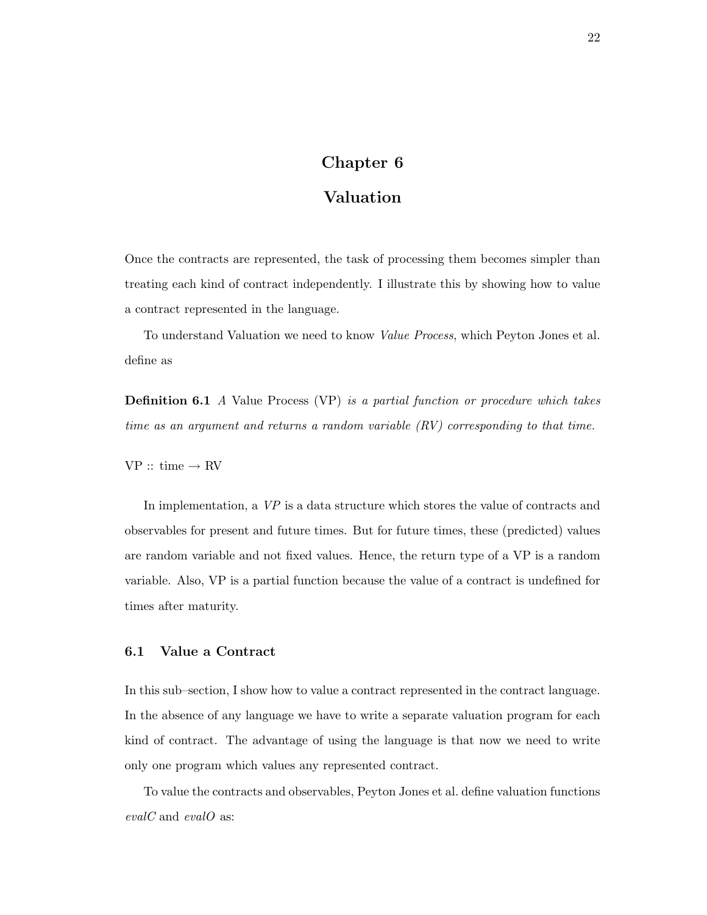## Chapter 6

## Valuation

Once the contracts are represented, the task of processing them becomes simpler than treating each kind of contract independently. I illustrate this by showing how to value a contract represented in the language.

To understand Valuation we need to know Value Process, which Peyton Jones et al. define as

**Definition 6.1** A Value Process (VP) is a partial function or procedure which takes time as an argument and returns a random variable (RV) corresponding to that time.

 $VP :: time \rightarrow RV$ 

In implementation, a VP is a data structure which stores the value of contracts and observables for present and future times. But for future times, these (predicted) values are random variable and not fixed values. Hence, the return type of a VP is a random variable. Also, VP is a partial function because the value of a contract is undefined for times after maturity.

#### 6.1 Value a Contract

In this sub–section, I show how to value a contract represented in the contract language. In the absence of any language we have to write a separate valuation program for each kind of contract. The advantage of using the language is that now we need to write only one program which values any represented contract.

To value the contracts and observables, Peyton Jones et al. define valuation functions evalC and evalO as: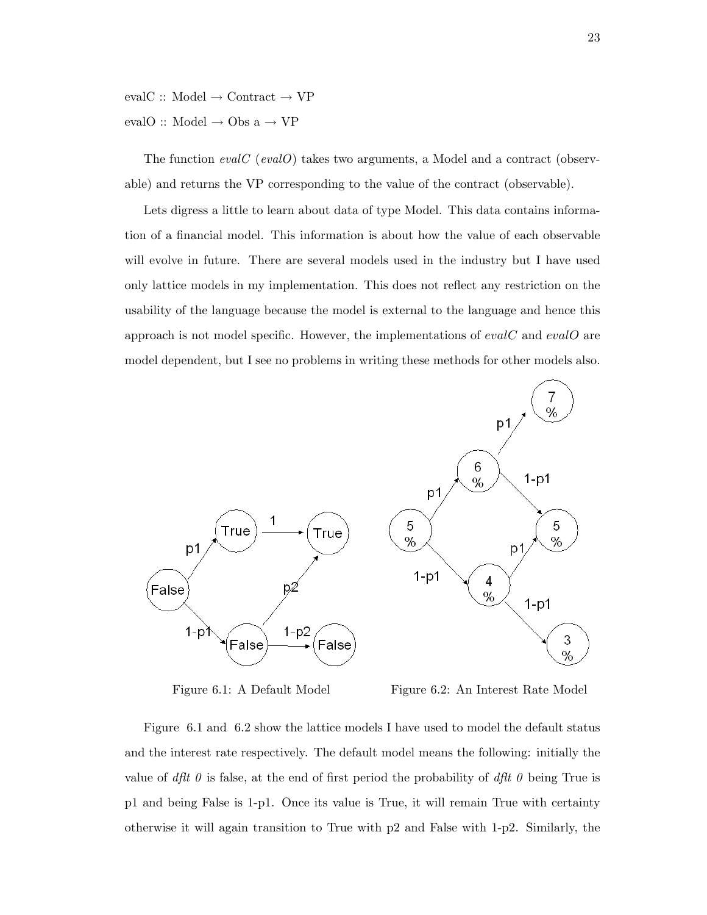evalC :: Model  $\rightarrow$  Contract  $\rightarrow$  VP evalO :: Model  $\rightarrow$  Obs a  $\rightarrow$  VP

The function  $evalC$  (eval $O$ ) takes two arguments, a Model and a contract (observable) and returns the VP corresponding to the value of the contract (observable).

Lets digress a little to learn about data of type Model. This data contains information of a financial model. This information is about how the value of each observable will evolve in future. There are several models used in the industry but I have used only lattice models in my implementation. This does not reflect any restriction on the usability of the language because the model is external to the language and hence this approach is not model specific. However, the implementations of evalC and evalO are model dependent, but I see no problems in writing these methods for other models also.



Figure 6.1: A Default Model Figure 6.2: An Interest Rate Model

Figure 6.1 and 6.2 show the lattice models I have used to model the default status and the interest rate respectively. The default model means the following: initially the value of dflt 0 is false, at the end of first period the probability of dflt 0 being True is p1 and being False is 1-p1. Once its value is True, it will remain True with certainty otherwise it will again transition to True with p2 and False with 1-p2. Similarly, the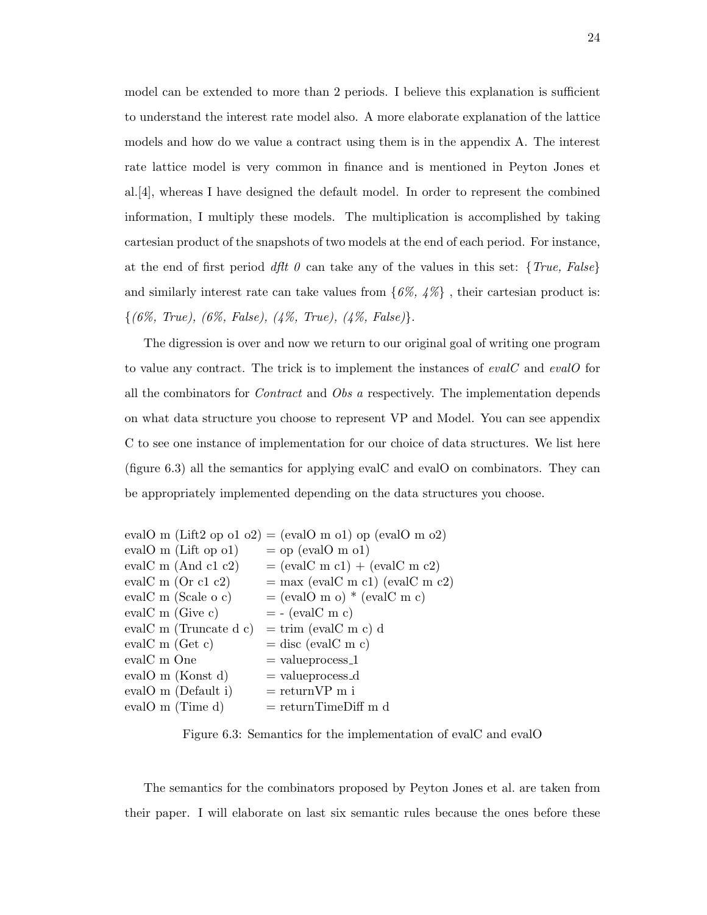model can be extended to more than 2 periods. I believe this explanation is sufficient to understand the interest rate model also. A more elaborate explanation of the lattice models and how do we value a contract using them is in the appendix A. The interest rate lattice model is very common in finance and is mentioned in Peyton Jones et al.[4], whereas I have designed the default model. In order to represent the combined information, I multiply these models. The multiplication is accomplished by taking cartesian product of the snapshots of two models at the end of each period. For instance, at the end of first period dflt 0 can take any of the values in this set:  $\{True, False\}$ and similarly interest rate can take values from  $\{6\%, 4\% \}$ , their cartesian product is:  $\{(6\%, True), (6\%, False), (4\%, True), (4\%, False)\}.$ 

The digression is over and now we return to our original goal of writing one program to value any contract. The trick is to implement the instances of evalC and evalO for all the combinators for Contract and Obs a respectively. The implementation depends on what data structure you choose to represent VP and Model. You can see appendix C to see one instance of implementation for our choice of data structures. We list here (figure 6.3) all the semantics for applying evalC and evalO on combinators. They can be appropriately implemented depending on the data structures you choose.

|                               | evalO m (Lift2 op o1 o2) = (evalO m o1) op (evalO m o2) |
|-------------------------------|---------------------------------------------------------|
| eval $O$ m (Lift op o1)       | $=$ op (evalO m o1)                                     |
| eval $C$ m (And c1 c2)        | $=$ (evalC m c1) + (evalC m c2)                         |
| eval $C \text{ m}$ (Or c1 c2) | $=$ max (evalC m c1) (evalC m c2)                       |
| eval $C$ m (Scale o c)        | $=$ (evalO m o) $*$ (evalC m c)                         |
| eval $C$ m (Give c)           | $= -$ (evalC m c)                                       |
| eval $C$ m (Truncate d c)     | $=$ trim (evalC m c) d                                  |
| eval $C$ m (Get c)            | $=$ disc (evalC m c)                                    |
| evalC m One                   | $=$ value process_1                                     |
| evalO m (Konst d)             | $=$ value process_d                                     |
| evalO m (Default i)           | $=$ return $VP$ m i                                     |
| eval $O$ m (Time d)           | $=$ returnTimeDiff m d                                  |

Figure 6.3: Semantics for the implementation of evalC and evalO

The semantics for the combinators proposed by Peyton Jones et al. are taken from their paper. I will elaborate on last six semantic rules because the ones before these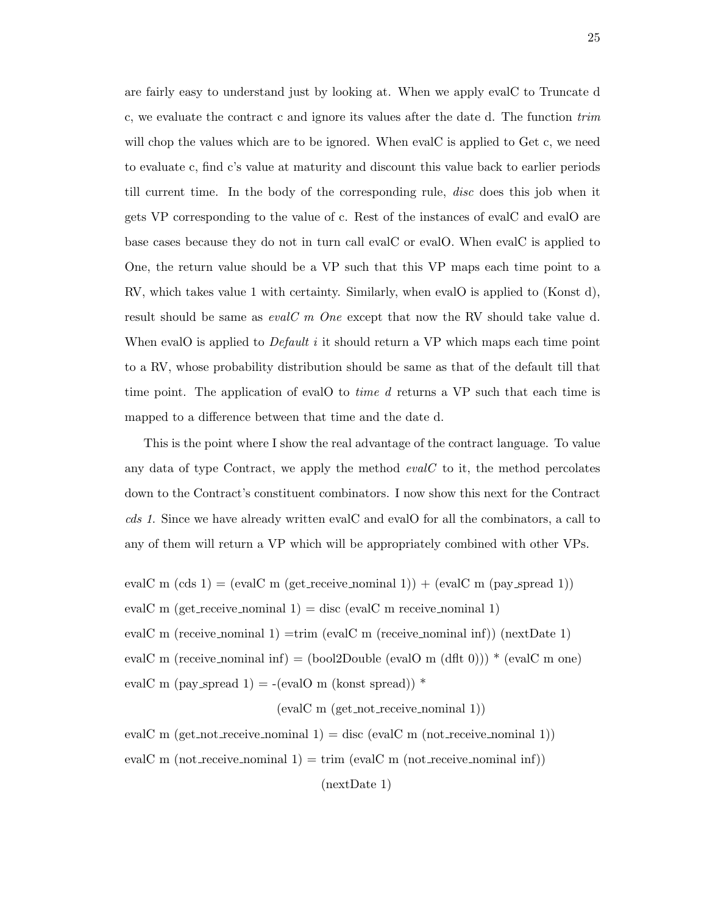are fairly easy to understand just by looking at. When we apply evalC to Truncate d c, we evaluate the contract c and ignore its values after the date d. The function trim will chop the values which are to be ignored. When evalC is applied to Get c, we need to evaluate c, find c's value at maturity and discount this value back to earlier periods till current time. In the body of the corresponding rule, disc does this job when it gets VP corresponding to the value of c. Rest of the instances of evalC and evalO are base cases because they do not in turn call evalC or evalO. When evalC is applied to One, the return value should be a VP such that this VP maps each time point to a RV, which takes value 1 with certainty. Similarly, when evalO is applied to (Konst d), result should be same as  $evalC$  m One except that now the RV should take value d. When evalO is applied to  $Default$  it should return a VP which maps each time point to a RV, whose probability distribution should be same as that of the default till that time point. The application of evalO to *time d* returns a VP such that each time is mapped to a difference between that time and the date d.

This is the point where I show the real advantage of the contract language. To value any data of type Contract, we apply the method  $evalC$  to it, the method percolates down to the Contract's constituent combinators. I now show this next for the Contract cds 1. Since we have already written evalC and evalO for all the combinators, a call to any of them will return a VP which will be appropriately combined with other VPs.

evalC m  $(\text{cds 1}) = (\text{evalC m (get\_receive\_nominal 1)}) + (\text{evalC m (pay\_spread 1)})$ evalC m (get\_receive\_nominal 1) = disc (evalC m receive\_nominal 1) evalC m (receive nominal 1) =trim (evalC m (receive nominal inf)) (nextDate 1) evalC m (receive nominal inf) = (bool2Double (evalO m (dflt 0)))  $*$  (evalC m one) evalC m (pay\_spread 1) = -(evalO m (konst spread))  $*$ 

(evalC m (get not receive nominal 1))

evalC m (get\_not\_receive\_nominal 1) = disc (evalC m (not\_receive\_nominal 1)) evalC m (not receive nominal  $1$ ) = trim (evalC m (not receive nominal inf))

(nextDate 1)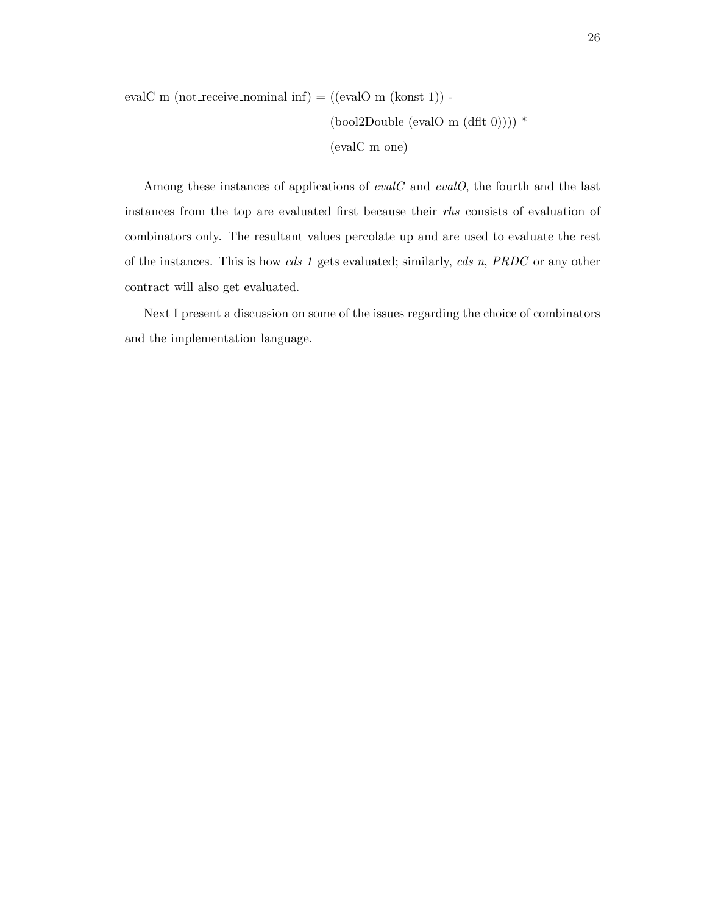evalC m (not\_receive\_nominal inf) =  $((evalO \ m (konst 1))$  -(bool2Double (evalO m  $(dft 0))$ ) \* (evalC m one)

Among these instances of applications of  $evalC$  and  $evalO$ , the fourth and the last instances from the top are evaluated first because their rhs consists of evaluation of combinators only. The resultant values percolate up and are used to evaluate the rest of the instances. This is how cds 1 gets evaluated; similarly, cds n, PRDC or any other contract will also get evaluated.

Next I present a discussion on some of the issues regarding the choice of combinators and the implementation language.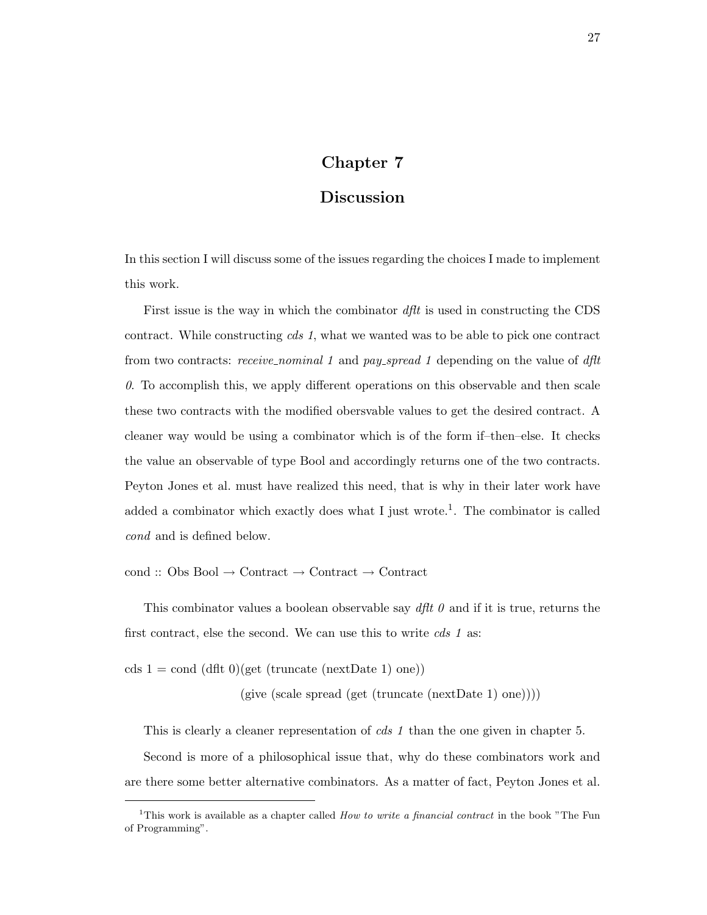## Chapter 7

## Discussion

In this section I will discuss some of the issues regarding the choices I made to implement this work.

First issue is the way in which the combinator  $dft$  is used in constructing the CDS contract. While constructing *cds* 1, what we wanted was to be able to pick one contract from two contracts: receive\_nominal 1 and pay\_spread 1 depending on the value of dflt  $0.$  To accomplish this, we apply different operations on this observable and then scale these two contracts with the modified obersvable values to get the desired contract. A cleaner way would be using a combinator which is of the form if–then–else. It checks the value an observable of type Bool and accordingly returns one of the two contracts. Peyton Jones et al. must have realized this need, that is why in their later work have added a combinator which exactly does what I just wrote.<sup>1</sup>. The combinator is called cond and is defined below.

cond :: Obs Bool → Contract → Contract → Contract

This combinator values a boolean observable say  $dft \theta$  and if it is true, returns the first contract, else the second. We can use this to write *cds* 1 as:

cds  $1 = \text{cond} (\text{dft } 0)(\text{get} (\text{truncated} (\text{nextDate} 1) \text{ one}))$ 

 $(give (scale spread (get (truncated (nextDate 1) one))))$ 

This is clearly a cleaner representation of *cds 1* than the one given in chapter 5.

Second is more of a philosophical issue that, why do these combinators work and are there some better alternative combinators. As a matter of fact, Peyton Jones et al.

<sup>&</sup>lt;sup>1</sup>This work is available as a chapter called *How to write a financial contract* in the book "The Fun of Programming".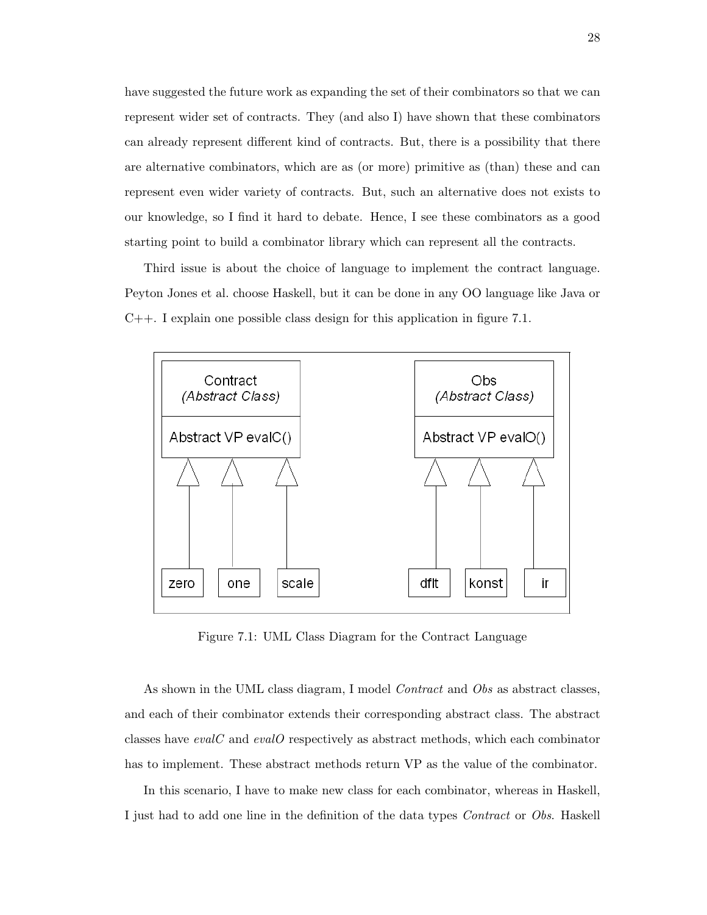have suggested the future work as expanding the set of their combinators so that we can represent wider set of contracts. They (and also I) have shown that these combinators can already represent different kind of contracts. But, there is a possibility that there are alternative combinators, which are as (or more) primitive as (than) these and can represent even wider variety of contracts. But, such an alternative does not exists to our knowledge, so I find it hard to debate. Hence, I see these combinators as a good starting point to build a combinator library which can represent all the contracts.

Third issue is about the choice of language to implement the contract language. Peyton Jones et al. choose Haskell, but it can be done in any OO language like Java or C++. I explain one possible class design for this application in figure 7.1.



Figure 7.1: UML Class Diagram for the Contract Language

As shown in the UML class diagram, I model *Contract* and *Obs* as abstract classes, and each of their combinator extends their corresponding abstract class. The abstract classes have evalC and evalO respectively as abstract methods, which each combinator has to implement. These abstract methods return VP as the value of the combinator.

In this scenario, I have to make new class for each combinator, whereas in Haskell, I just had to add one line in the definition of the data types Contract or Obs. Haskell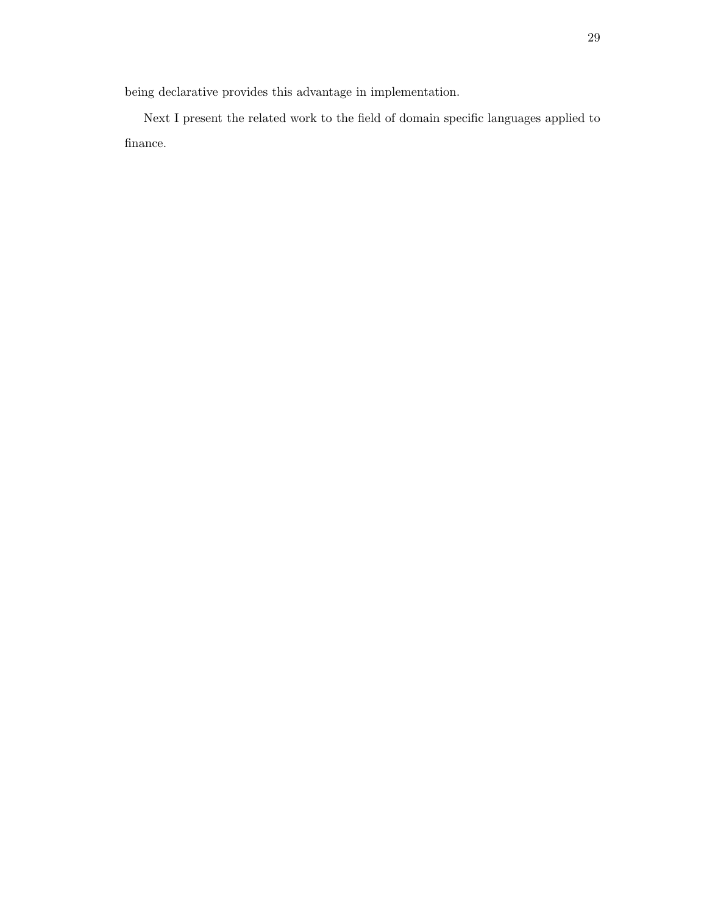being declarative provides this advantage in implementation.

Next I present the related work to the field of domain specific languages applied to finance.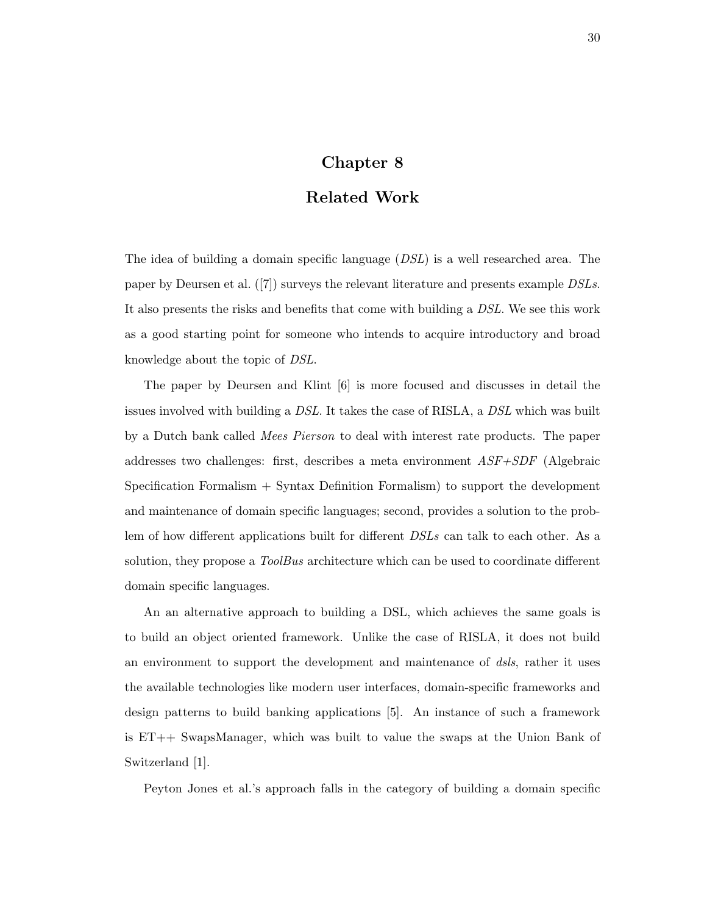## Chapter 8

### Related Work

The idea of building a domain specific language (DSL) is a well researched area. The paper by Deursen et al. ([7]) surveys the relevant literature and presents example DSLs. It also presents the risks and benefits that come with building a DSL. We see this work as a good starting point for someone who intends to acquire introductory and broad knowledge about the topic of DSL.

The paper by Deursen and Klint [6] is more focused and discusses in detail the issues involved with building a DSL. It takes the case of RISLA, a DSL which was built by a Dutch bank called *Mees Pierson* to deal with interest rate products. The paper addresses two challenges: first, describes a meta environment ASF+SDF (Algebraic Specification Formalism + Syntax Definition Formalism) to support the development and maintenance of domain specific languages; second, provides a solution to the problem of how different applications built for different  $DSLs$  can talk to each other. As a solution, they propose a *ToolBus* architecture which can be used to coordinate different domain specific languages.

An an alternative approach to building a DSL, which achieves the same goals is to build an object oriented framework. Unlike the case of RISLA, it does not build an environment to support the development and maintenance of dsls, rather it uses the available technologies like modern user interfaces, domain-specific frameworks and design patterns to build banking applications [5]. An instance of such a framework is ET++ SwapsManager, which was built to value the swaps at the Union Bank of Switzerland [1].

Peyton Jones et al.'s approach falls in the category of building a domain specific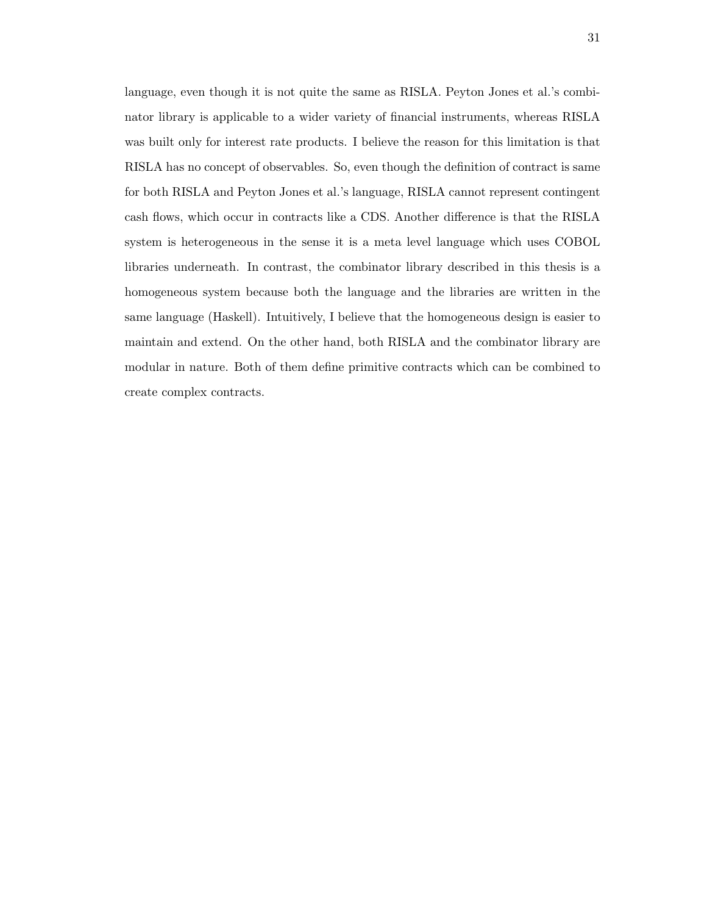language, even though it is not quite the same as RISLA. Peyton Jones et al.'s combinator library is applicable to a wider variety of financial instruments, whereas RISLA was built only for interest rate products. I believe the reason for this limitation is that RISLA has no concept of observables. So, even though the definition of contract is same for both RISLA and Peyton Jones et al.'s language, RISLA cannot represent contingent cash flows, which occur in contracts like a CDS. Another difference is that the RISLA system is heterogeneous in the sense it is a meta level language which uses COBOL libraries underneath. In contrast, the combinator library described in this thesis is a homogeneous system because both the language and the libraries are written in the same language (Haskell). Intuitively, I believe that the homogeneous design is easier to maintain and extend. On the other hand, both RISLA and the combinator library are modular in nature. Both of them define primitive contracts which can be combined to create complex contracts.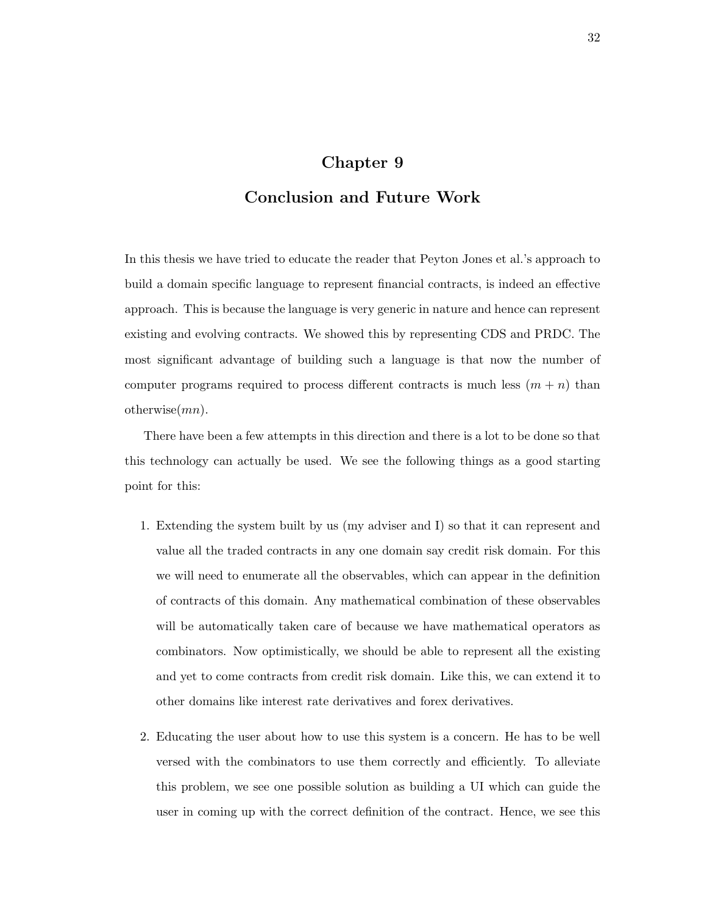### Chapter 9

## Conclusion and Future Work

In this thesis we have tried to educate the reader that Peyton Jones et al.'s approach to build a domain specific language to represent financial contracts, is indeed an effective approach. This is because the language is very generic in nature and hence can represent existing and evolving contracts. We showed this by representing CDS and PRDC. The most significant advantage of building such a language is that now the number of computer programs required to process different contracts is much less  $(m + n)$  than otherwise $(mn)$ .

There have been a few attempts in this direction and there is a lot to be done so that this technology can actually be used. We see the following things as a good starting point for this:

- 1. Extending the system built by us (my adviser and I) so that it can represent and value all the traded contracts in any one domain say credit risk domain. For this we will need to enumerate all the observables, which can appear in the definition of contracts of this domain. Any mathematical combination of these observables will be automatically taken care of because we have mathematical operators as combinators. Now optimistically, we should be able to represent all the existing and yet to come contracts from credit risk domain. Like this, we can extend it to other domains like interest rate derivatives and forex derivatives.
- 2. Educating the user about how to use this system is a concern. He has to be well versed with the combinators to use them correctly and efficiently. To alleviate this problem, we see one possible solution as building a UI which can guide the user in coming up with the correct definition of the contract. Hence, we see this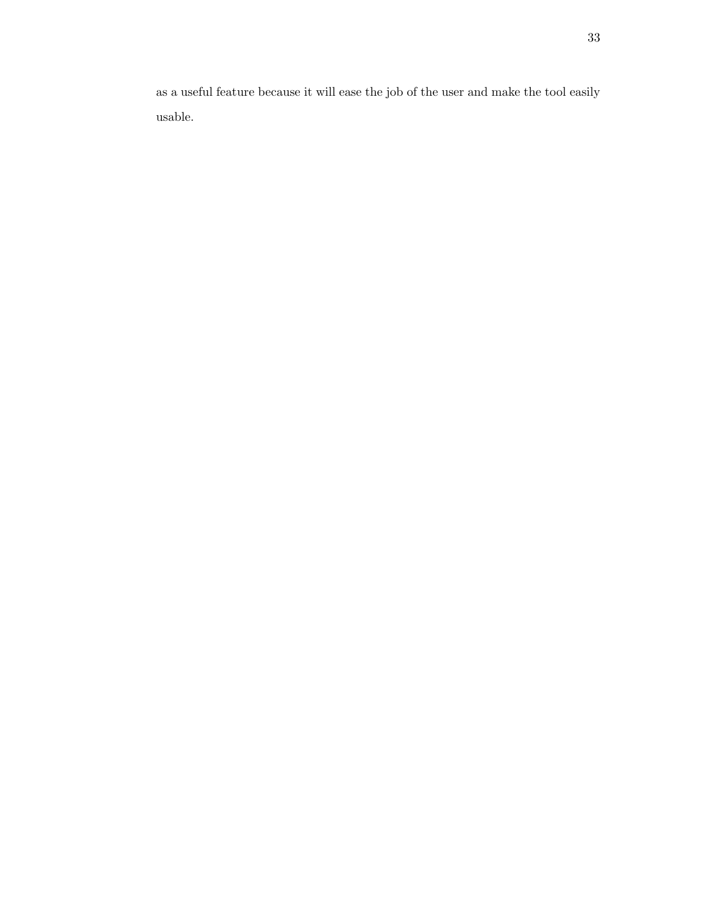as a useful feature because it will ease the job of the user and make the tool easily usable.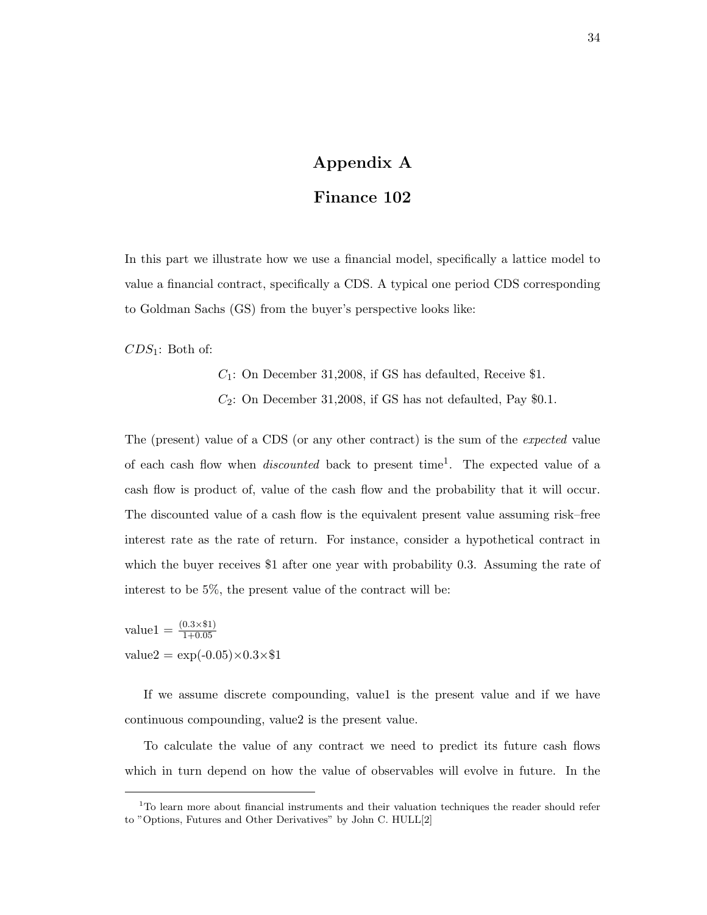# Appendix A

## Finance 102

In this part we illustrate how we use a financial model, specifically a lattice model to value a financial contract, specifically a CDS. A typical one period CDS corresponding to Goldman Sachs (GS) from the buyer's perspective looks like:

 $CDS_1$ : Both of:

 $C_1$ : On December 31,2008, if GS has defaulted, Receive \$1.  $C_2$ : On December 31,2008, if GS has not defaulted, Pay \$0.1.

The (present) value of a CDS (or any other contract) is the sum of the expected value of each cash flow when *discounted* back to present time<sup>1</sup>. The expected value of a cash flow is product of, value of the cash flow and the probability that it will occur. The discounted value of a cash flow is the equivalent present value assuming risk–free interest rate as the rate of return. For instance, consider a hypothetical contract in which the buyer receives \$1 after one year with probability 0.3. Assuming the rate of interest to be 5%, the present value of the contract will be:

value1 =  $\frac{(0.3 \times $1)}{1+0.05}$  $value2 = exp(-0.05) \times 0.3 \times $1$ 

If we assume discrete compounding, valuel is the present value and if we have continuous compounding, value2 is the present value.

To calculate the value of any contract we need to predict its future cash flows which in turn depend on how the value of observables will evolve in future. In the

<sup>&</sup>lt;sup>1</sup>To learn more about financial instruments and their valuation techniques the reader should refer to "Options, Futures and Other Derivatives" by John C. HULL[2]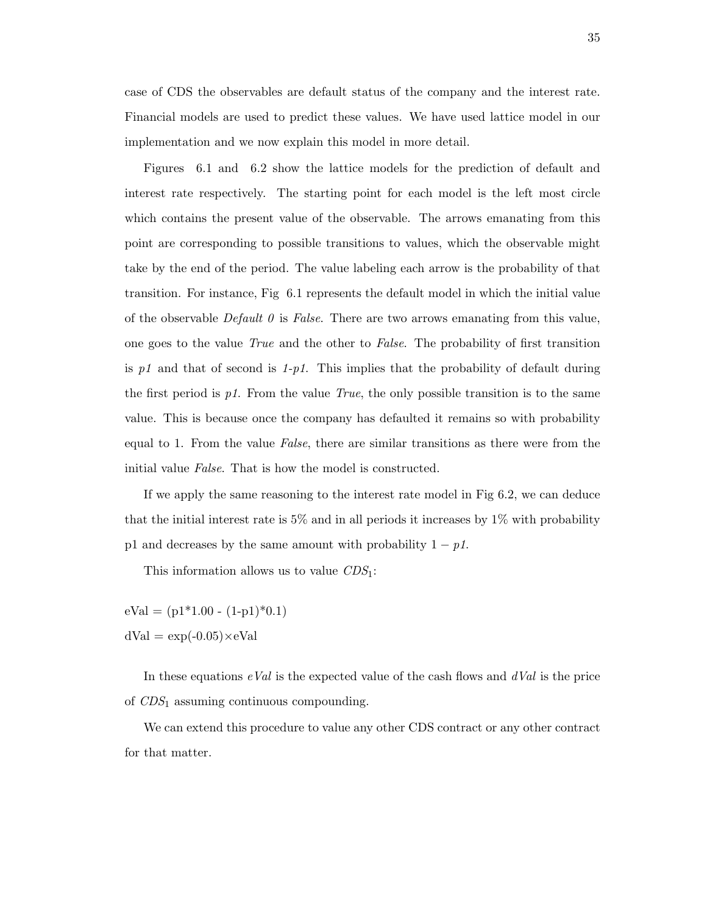case of CDS the observables are default status of the company and the interest rate. Financial models are used to predict these values. We have used lattice model in our implementation and we now explain this model in more detail.

Figures 6.1 and 6.2 show the lattice models for the prediction of default and interest rate respectively. The starting point for each model is the left most circle which contains the present value of the observable. The arrows emanating from this point are corresponding to possible transitions to values, which the observable might take by the end of the period. The value labeling each arrow is the probability of that transition. For instance, Fig 6.1 represents the default model in which the initial value of the observable *Default 0* is False. There are two arrows emanating from this value, one goes to the value True and the other to False. The probability of first transition is p1 and that of second is  $1-p1$ . This implies that the probability of default during the first period is  $p_1$ . From the value True, the only possible transition is to the same value. This is because once the company has defaulted it remains so with probability equal to 1. From the value False, there are similar transitions as there were from the initial value False. That is how the model is constructed.

If we apply the same reasoning to the interest rate model in Fig 6.2, we can deduce that the initial interest rate is 5% and in all periods it increases by 1% with probability p1 and decreases by the same amount with probability  $1 - p1$ .

This information allows us to value  $CDS<sub>1</sub>$ :

 $eVal = (p1*1.00 - (1-p1)*0.1)$  $dVal = exp(-0.05) \times eVal$ 

In these equations  $eVal$  is the expected value of the cash flows and  $dVal$  is the price of CDS<sup>1</sup> assuming continuous compounding.

We can extend this procedure to value any other CDS contract or any other contract for that matter.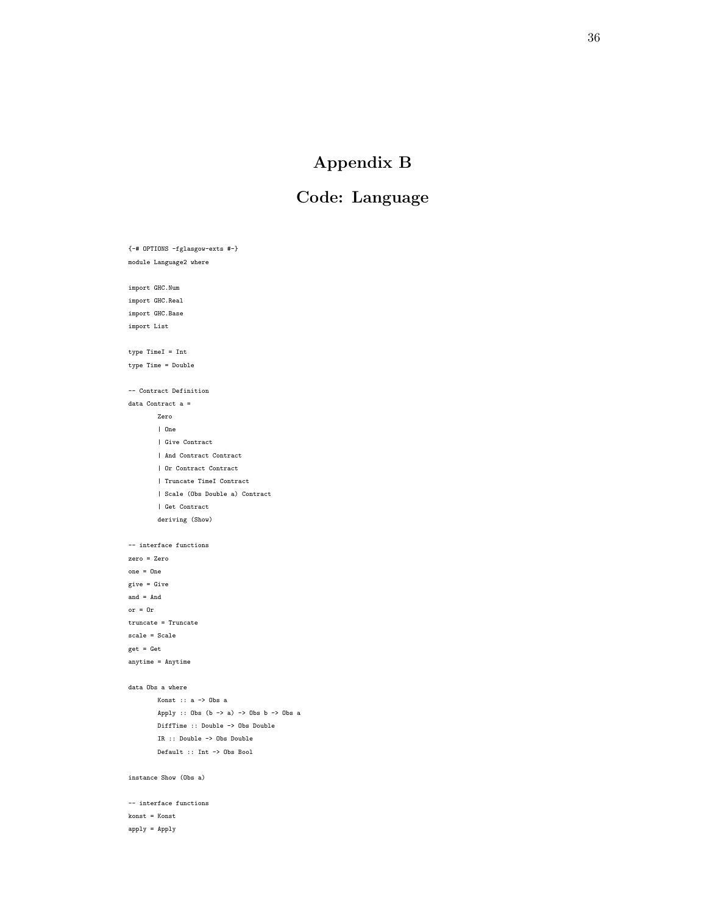# Appendix B

# Code: Language

{-# OPTIONS -fglasgow-exts #-} module Language2 where import GHC.Num import GHC.Real import GHC.Base import List type TimeI = Int type Time = Double -- Contract Definition data Contract a = Zero | One | Give Contract | And Contract Contract | Or Contract Contract | Truncate TimeI Contract | Scale (Obs Double a) Contract | Get Contract deriving (Show) -- interface functions zero = Zero one = One give = Give and = And or = Or truncate = Truncate scale = Scale get = Get anytime = Anytime data Obs a where  $\texttt{Konst}\;::\;\mathbf{a}\;\rightarrow\;\mathbf{Obs}\;\;\mathbf{a}$ Apply :: Obs  $(b \rightarrow a) \rightarrow$  Obs  $b \rightarrow$  Obs a DiffTime :: Double -> Obs Double IR :: Double -> Obs Double Default :: Int -> Obs Bool instance Show (Obs a) -- interface functions konst = Konst

#### apply = Apply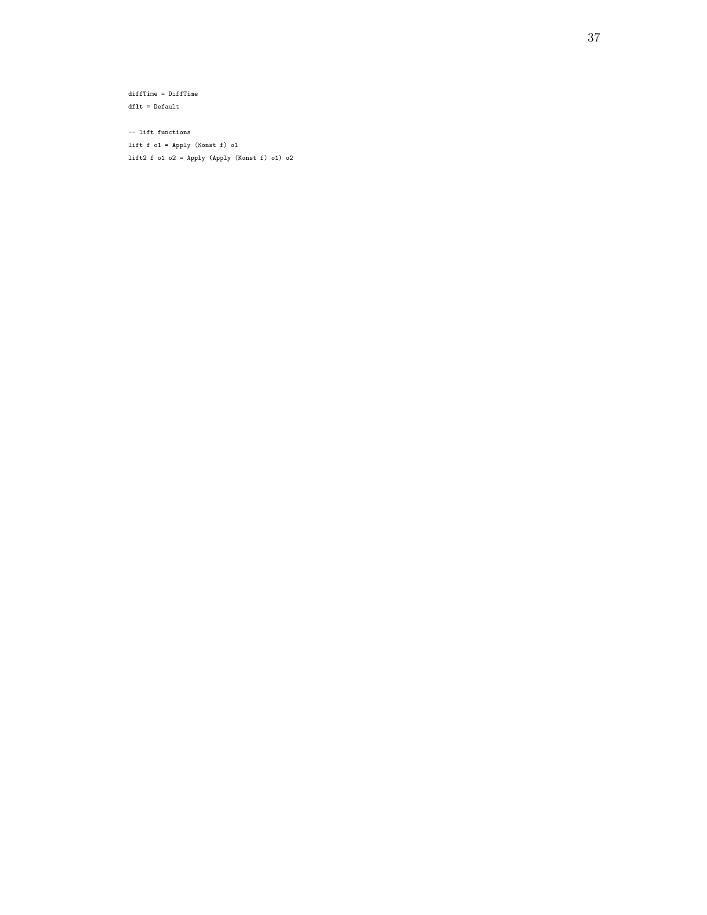diffTime = DiffTime dflt = Default

-- lift functions lift f o1 = Apply (Konst f) o1 lift2 f o1 o2 = Apply (Apply (Konst f) o1) o2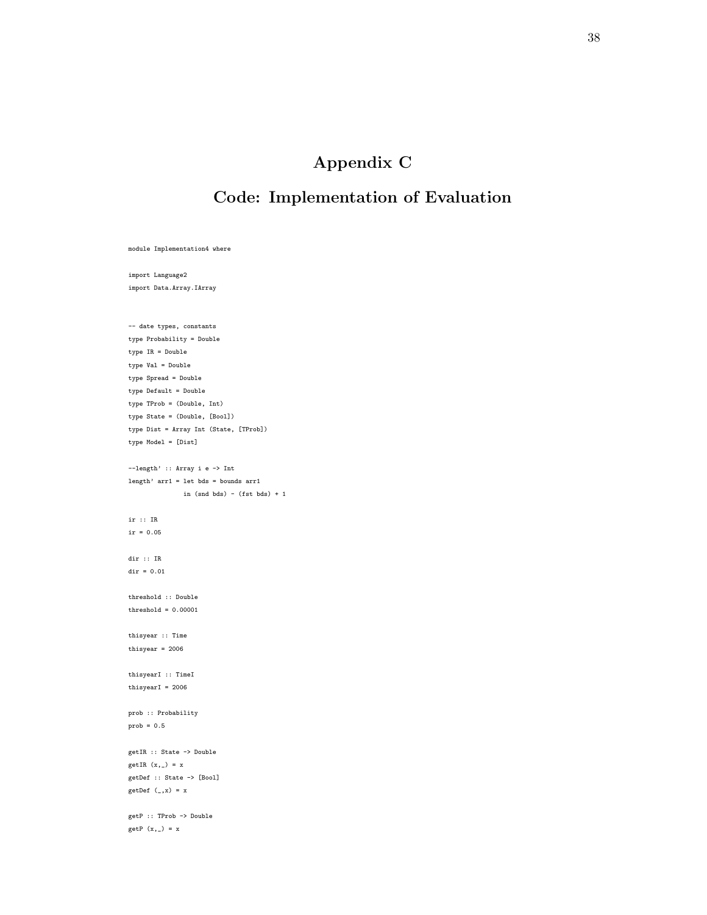# Appendix C

## Code: Implementation of Evaluation

module Implementation4 where

import Language2 import Data.Array.IArray

-- date types, constants type Probability = Double type IR = Double type Val = Double type Spread = Double type Default = Double type TProb = (Double, Int) type State = (Double, [Bool]) type Dist = Array Int (State, [TProb]) type Model = [Dist] --length' :: Array i e -> Int length' arr1 = let bds = bounds arr1 in (snd bds) - (fst bds) + 1 ir :: IR  $ir = 0.05$ dir :: IR  $dir = 0.01$ threshold :: Double threshold =  $0.00001$ thisyear :: Time thisyear =  $2006$ thisyearI :: TimeI thisyearI =  $2006$ prob :: Probability prob = 0.5 getIR :: State -> Double getIR  $(x, _-) = x$ getDef :: State -> [Bool] getDef  $(\_, x) = x$ getP :: TProb -> Double  $getP(x, _{\_}) = x$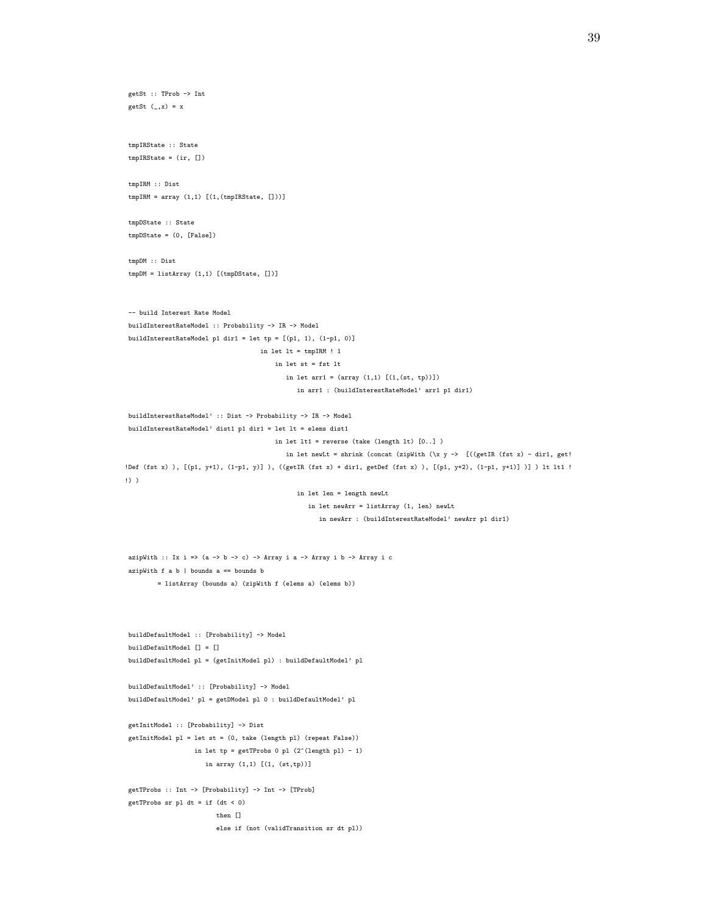```
getSt :: TProb -> Int
getSt (, x) = x
tmpIRState :: State
tmpIRState = (ir, [])
tmpIRM :: Dist
tmpIRM = array (1,1) [(1,(tmpIRState, []))]tmpDState :: State
tmpDState = (0, [False])
tmpDM :: Dist
tmpDM = listArray (1,1) [(tmpDState, [])]
-- build Interest Rate Model
buildInterestRateModel :: Probability -> IR -> Model
buildInterestRateModel p1 dir1 = let tp = [(p1, 1), (1-p1, 0)]
                                    in let lt = tmpIRM ! 1
                                        in let st = fst lt
                                           in let arr1 = (array (1,1) [(1,(st, tp))])in arr1 : (buildInterestRateModel' arr1 p1 dir1)
buildInterestRateModel' :: Dist -> Probability -> IR -> Model
buildInterestRateModel' dist1 p1 dir1 = let lt = elems dist1
                                        in let lt1 = reverse (take (length lt) [0..] )
                                           in let newLt = shrink (concat (zipWith (\x y \rightarrow ) [((getIR (fst x) - dir1, get!
!Def (fst x) ), [(p1, y+1), (1-p1, y)] ), ((getIR (fst x) + dir1, getDef (fst x) ), [(p1, y+2), (1-p1, y+1)] )] ) lt lt1 !
!) )
                                              in let len = length newLt
                                                 in let newArr = listArray (1, len) newLt
                                                    in newArr : (buildInterestRateModel' newArr p1 dir1)
azipWith :: Ix i => (a -> b -> c) -> Array i a -> Array i b -> Array i c
azipWith f a b | bounds a == bounds b= listArray (bounds a) (zipWith f (elems a) (elems b))
buildDefaultModel :: [Probability] -> Model
buildDefaultModel [] = []
buildDefaultModel pl = (getInitModel pl) : buildDefaultModel' pl
buildDefaultModel' :: [Probability] -> Model
buildDefaultModel' pl = getDModel pl 0 : buildDefaultModel' pl
getInitModel :: [Probability] -> Dist
getInitModel pl = let st = (0, take (length pl) (repeat False))
                  in let tp = getTProbs 0 p1 (2^(length p1) - 1)in array (1,1) [(1, (st,tp))]
getTProbs :: Int -> [Probability] -> Int -> [TProb]
getTProbs sr pl dt = if (dt < 0)
                        then \Boxelse if (not (validTransition sr dt pl))
```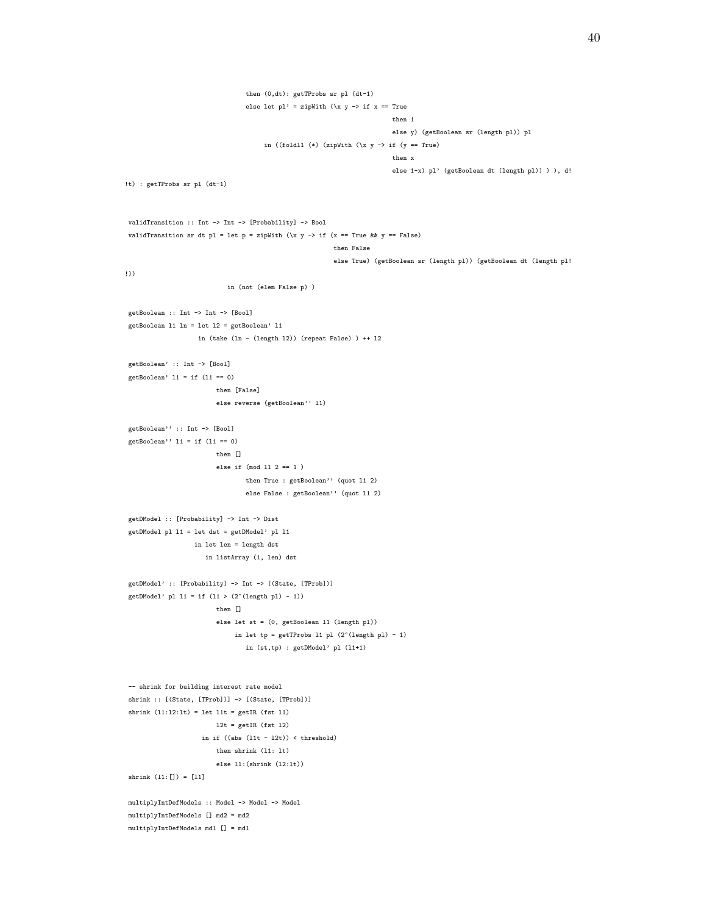```
then (0,dt): getTProbs sr pl (dt-1)
                                 else let pl' = zipWith (\x y \rightarrow if x == Truethen 1
                                                                         else y) (getBoolean sr (length pl)) pl
                                      in ((foldl1 (*) (zipWith \(\x y -> if (y == True)then x
                                                                         else 1-x) pl' (getBoolean dt (length pl)) ) ), d!
!t) : getTProbs sr pl (dt-1)
validTransition :: Int -> Int -> [Probability] -> Bool
validTransition sr dt pl = let p = zipWith (\x y \rightarrow if (x == True \& x = False)then False
                                                         else True) (getBoolean sr (length pl)) (getBoolean dt (length pl!
!))
                            in (not (elem False p) )
getBoolean :: Int -> Int -> [Bool]
getBoolean l1 ln = let l2 = getBoolean' l1
                   in (take (ln - (length l2)) (repeat False) ) ++ l2
getBoolean' :: Int -> [Bool]
getBoolean' l1 = if (l1 == 0)
                        then [False]
                        else reverse (getBoolean'' l1)
getBoolean'' :: Int -> [Bool]
getBoolean'' 11 = if (11 == 0)then []
                        else if (mod l1 2 == 1 )
                                then True : getBoolean'' (quot l1 2)
                                 else False : getBoolean'' (quot l1 2)
getDModel :: [Probability] -> Int -> Dist
getDModel pl l1 = let dst = getDModel' pl l1
                  in let len = length dst
                     in listArray (1, len) dst
getDModel' :: [Probability] -> Int -> [(State, [TProb])]
getDModel' pl 11 = if (11 > (2^{(length p1) - 1))then []
                        else let st = (0, getBoolean l1 (length pl))
                             in let tp = getTProbs 11 pl (2^{\text{-}}(length pl) - 1)in (st,tp) : getDModel' pl (l1+1)
-- shrink for building interest rate model
shrink :: [(State, [TProb])] -> [(State, [TProb])]
shrink (l1:l2:lt) = let l1t = getIR (fst l1)
                        12t = getIR (fst 12)in if ((abs (11t - 12t)) < threshold)then shrink (l1: lt)
                        else l1:(shrink (l2:lt))
shrink (11: [ ] ) = [11]multiplyIntDefModels :: Model -> Model -> Model
multiplyIntDefModels [] md2 = md2
multiplyIntDefModels md1 [] = md1
```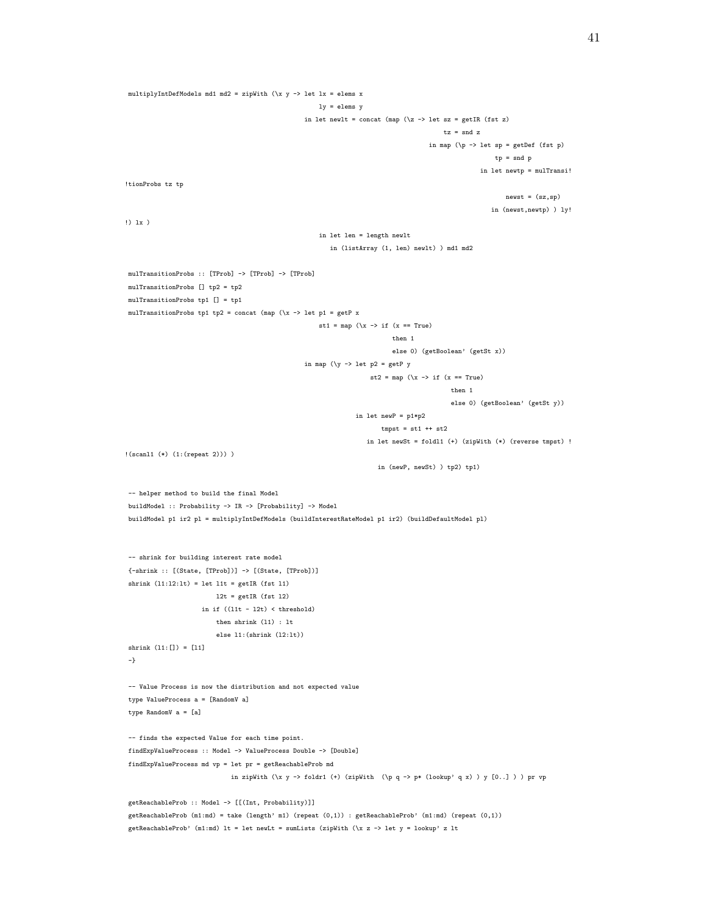```
multiplyIntDefModels md1 md2 = zipWith (\x y -> let lx = elems x
                                                       ly = elems y
                                                   in let newlt = concat (map (\zeta z \rightarrow 1et sz = getIR (fst z)
                                                                                          tz = snd z
                                                                                      in map (\pmb{\setminus} p \rightarrow \text{let sp = getDef (fst p)}tp = snd p
                                                                                                     in let newtp = mulTransi!
!tionProbs tz tp
                                                                                                            newst = (sz,sp)
                                                                                                        in (newst,newtp) ) ly!
!) lx )
                                                       in let len = length newlt
                                                          in (listArray (1, len) newlt) ) md1 md2
mulTransitionProbs :: [TProb] -> [TProb] -> [TProb]
mulTransitionProbs [] tp2 = tp2
mulTransitionProbs tp1 [] = tp1
mulTransitionProbs tp1 tp2 = concat (map (\x -> let p1 = getP x
                                                       st1 = map (\x \rightarrow x \text{ if } (x == True)then 1
                                                                            else 0) (getBoolean' (getSt x))
                                                   in map (\y \rightarrow \text{let } p2 = \text{getP } y)st2 = map (\x \rightarrow x \text{ if } (x == True)then 1
                                                                                             else 0) (getBoolean' (getSt y))
                                                                 in let newP = p1*p2
                                                                        tmpst = st1 ++ st2in let newSt = foldl1 (+) (zipWith (*) (reverse tmpst) !
!(scanl1 (*) (1:(repeat 2))) )
                                                                       in (newP, newSt) ) tp2) tp1)
-- helper method to build the final Model
buildModel :: Probability -> IR -> [Probability] -> Model
buildModel p1 ir2 pl = multiplyIntDefModels (buildInterestRateModel p1 ir2) (buildDefaultModel pl)
-- shrink for building interest rate model
{-shrink :: [(State, [TProb])] -> [(State, [TProb])]
shrink (11:12:1t) = let 11t = getIR (fst 11)12t = getIR (fst 12)in if ((11t - 12t) < threshold)
                         then shrink (l1) : lt
                         else l1:(shrink (l2:lt))
shrink (l1:[]) = [l1]
-}
-- Value Process is now the distribution and not expected value
type ValueProcess a = [RandomV a]
type RandomV a = [a]
-- finds the expected Value for each time point.
findExpValueProcess :: Model -> ValueProcess Double -> [Double]
findExpValueProcess md vp = let pr = getReachableProb md
                              in zipWith (\x y -> foldr1 (+) (zipWith (\p q -> p* (lookup' q x) ) y [0..] ) ) pr vp
getReachableProb :: Model -> [[(Int, Probability)]]
getReachableProb (m1:md) = take (length' m1) (repeat (0,1)) : getReachableProb' (m1:md) (repeat (0,1))
getReachableProb' (m1:md) lt = let newLt = sumLists (zipWith (\x z -> let y = lookup' z lt
```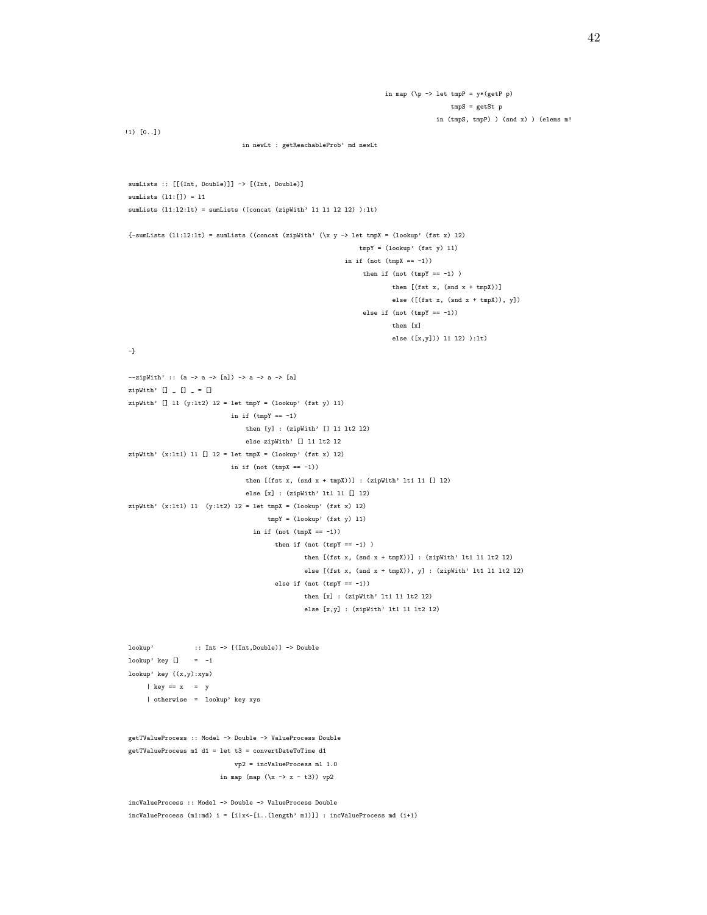```
in map (\p -> let tmpP = y*(getP p)
                                                                                      tmpS = getSt p
                                                                                   in (tmpS, tmpP) ) (snd x) ) (elems m!
!1) [0..])
                               in newLt : getReachableProb' md newLt
sumLists :: [[(Int, Double)]] -> [(Int, Double)]
sumLists (l1:[]) = l1
sumLists (l1:l2:lt) = sumLists ((concat (zipWith' l1 l1 l2 l2) ):lt)
{-sumLists (11:12:lt) = sumLists ((concat (zipWith' (\x y -> let tmpX = (lookup' (fst x) 12))tmpY = (lookup) (fst y) 11)in if (not (\text{tmpX} == -1))then if (not (tmpY == -1))
                                                                       then [(fst x, (snd x + tmpX))]else ([(fst x, (snd x + tmpX)), y])
                                                               else if (not (tmpY == -1))then [x]
                                                                       else ([x,y])) l1 l2) ):lt)
-}
--zipWith' :: (a -> a -> [a]) -> a -> a -> [a]
zipWith' [] [] [] = []zipWith' [] 11 (y:1t2) 12 = 1et tmpY = (lookup' (fst y) 11)
                           in if (tmpY == -1)then [y] : (zipWith' [] l1 lt2 l2)
                               else zipWith' [] l1 lt2 l2
zipWith' (x:lt1) l1 [] l2 = let tmpX = (lookup' (fst x) l2)
                            in if (not (tmpX == -1))
                               then [(fst x, (snd x + tmpX))] : (zipWith' 1t1 11 [] 12)else [x] : (zipWith' lt1 l1 [] l2)
zipWith' (x:1t1) 11 (y:1t2) 12 = let tmpX = (lookup' (fst x) 12)
                                     tmpY = (lookup' (fst y) 11)in if (not (tmpX == -1))
                                       then if (not (tmpY == -1))
                                               then [(fst x, (snd x + tmpX))]: (zipWith' 1t1 11 1t2 12)else [(fst x, (snd x + tmpX)), y] : (zipWith' lt1 l1 lt2 l2)
                                       else if (not (tmpY == -1))then [x] : (zipWith' 1t1 11 1t2 12)else [x,y] : (zipWith' lt1 l1 lt2 l2)
lookup' :: Int -> [(Int,Double)] -> Double
lookup' key [] = -1lookup' key ((x,y):xys)
     | key == x = y
     | otherwise = lookup' key xys
getTValueProcess :: Model -> Double -> ValueProcess Double
```

```
getTValueProcess m1 d1 = let t3 = convertDateToTime d1
                              vp2 = incValueProcess m1 1.0
                          in map (map (\x \rightarrow x - t3)) vp2
```
incValueProcess :: Model -> Double -> ValueProcess Double  $incValueProcess$  (m1:md)  $i = [i|x<-[1..(length' m1)]]$  :  $incValueProcess$  md ( $i+1$ )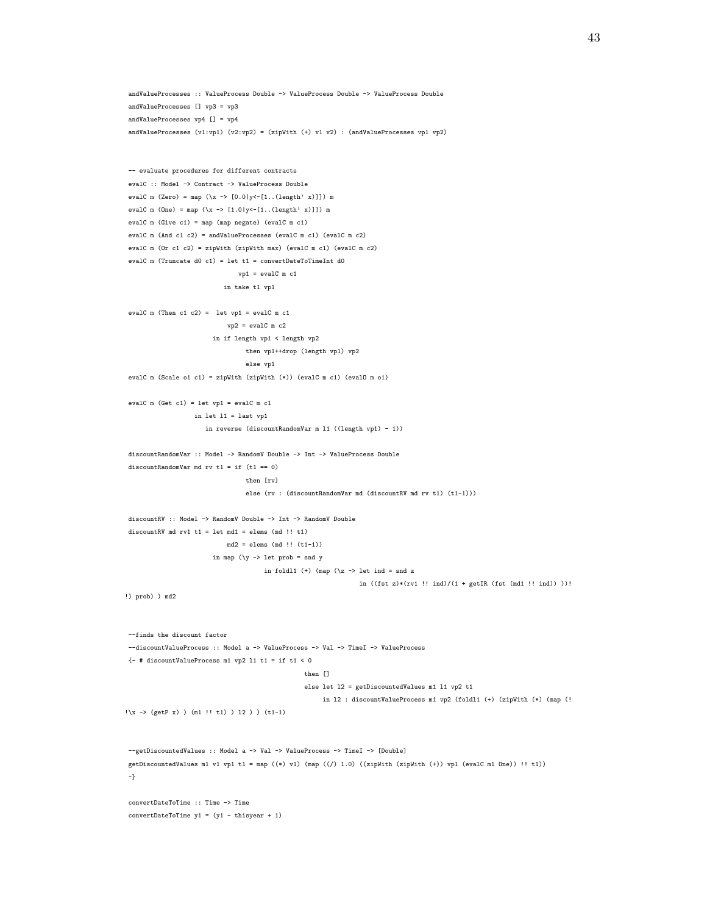```
andValueProcesses :: ValueProcess Double -> ValueProcess Double -> ValueProcess Double
andValueProcesses [] vp3 = vp3
andValueProcesses vp4 [] = vp4
andValueProcesses (v1:vp1) (v2:vp2) = (zipWith (+) v1 v2): (andValueProcessevp1 vp2)-- evaluate procedures for different contracts
evalC :: Model -> Contract -> ValueProcess Double
evalC m (Zero) = map (\xrightarrow x \rightarrow [0.0]y<-[1..(length' x)]]) m
evalC m (One) = map (\x -> [1.0|y<-[1..(length' x)]]) m
evalC m (Give c1) = map (map negate) (evalC m c1)
evalC m (And c1 c2) = andValueProcesses (evalC m c1) (evalC m c2)
evalC m (Or c1 c2) = zipWith (zipWith max) (evalC m c1) (evalC m c2)
evalC m (Truncate d0 c1) = let t1 = convertDateToTimeInt d0
                               vp1 = evalC m c1
                           in take t1 vp1
evalC m (Then c1 c2) = let vp1 = evalC m c1
                           vp2 = evalC \text{ m } c2in if length vp1 < length vp2
                                then vp1++drop (length vp1) vp2
                                 else vp1
evalC m (Scale o1 c1) = zipWith (zipWith (*)) (evalC m c1) (evalO m o1)
evalC m (Get c1) = let vp1 = evalC m c1
                  in let l1 = last vp1
                     in reverse (discountRandomVar m l1 ((length vp1) - 1))
discountRandomVar :: Model -> RandomV Double -> Int -> ValueProcess Double
discountRandomVar md rv t1 = if (t1 == 0)
                                 then [rv]
                                 else (rv : (discountRandomVar md (discountRV md rv t1) (t1-1)))
discountRV :: Model -> RandomV Double -> Int -> RandomV Double
discountRV md rv1 t1 = let md1 = elems (md !! t1)
                           md2 = elems (md !! (t1-1))
                        in map (\y \rightarrow let prob = snd y
                                      in foldl1 (+) (map (\zeta z \rightarrow 1et ind = snd z
                                                                in ((fst z)*(rv1 ! ind)/(1 + getIR (fst (md1 ! ind)))!)!) prob) ) md2
--finds the discount factor
--discountValueProcess :: Model a -> ValueProcess -> Val -> TimeI -> ValueProcess
{- # discountValueProcess m1 vp2 l1 t1 = if t1 < 0
                                                 then []
                                                 else let l2 = getDiscountedValues m1 l1 vp2 t1
                                                      in l2 : discountValueProcess m1 vp2 (foldl1 (+) (zipWith (*) (map (!
!\x -> (getP x) ) (m1 !! t1) ) l2 ) ) (t1-1)
--getDiscountedValues :: Model a -> Val -> ValueProcess -> TimeI -> [Double]
getDiscountedValues m1 v1 vp1 t1 = map ((*) v1) (map ((/) 1.0) ((zipWith (zipWith (+)) vp1 (evalC m1 One)) !! t1))
-}
convertDateToTime :: Time -> Time
convertDateToTime y1 = (y1 - thisyear + 1)
```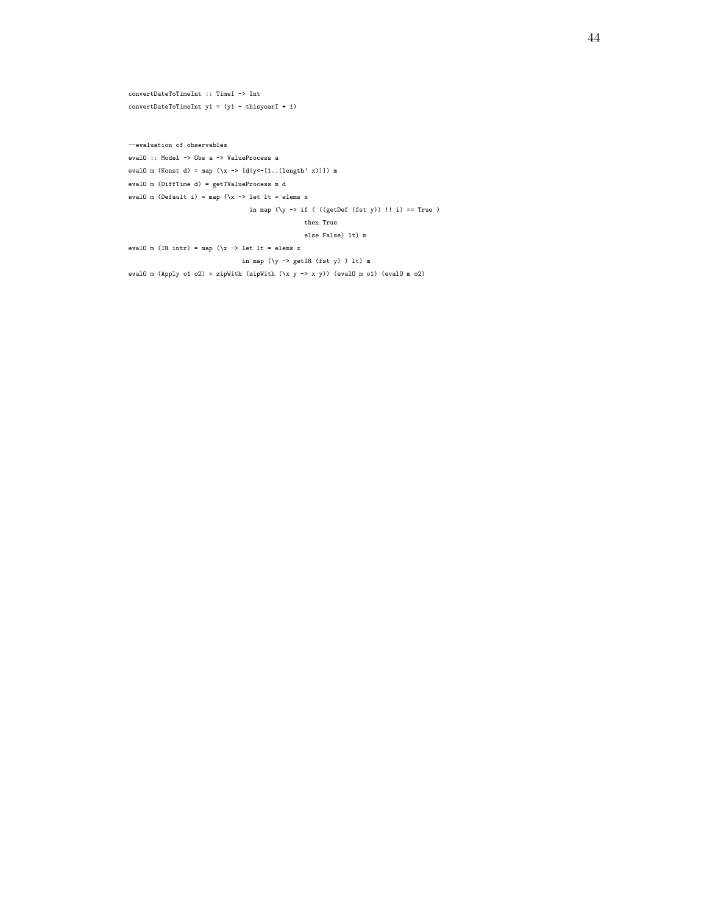```
convertDateToTimeInt :: TimeI -> Int
convertDateToTimeInt y1 = (y1 - thisyearI + 1)
```
--evaluation of observables evalO :: Model -> Obs a -> ValueProcess a evalO m (Konst d) = map (\x -> [d|y<-[1..(length' x)]]) m evalO m (DiffTime d) = getTValueProcess m d eval<br/>0 ${\tt m}$  (Default i) = map (\x -> let lt = elems x in map (\y -> if ( ((getDef (fst y)) !! i) == True ) then True else False) lt) m evalO m (IR intr) = map  $(\x \rightarrow x$  let lt = elems x in map (\y -> getIR (fst y) ) lt) m evalO m (Apply o1 o2) = zipWith (zipWith  $(\x{ y \rightarrow x y})$  (evalO m o1) (evalO m o2)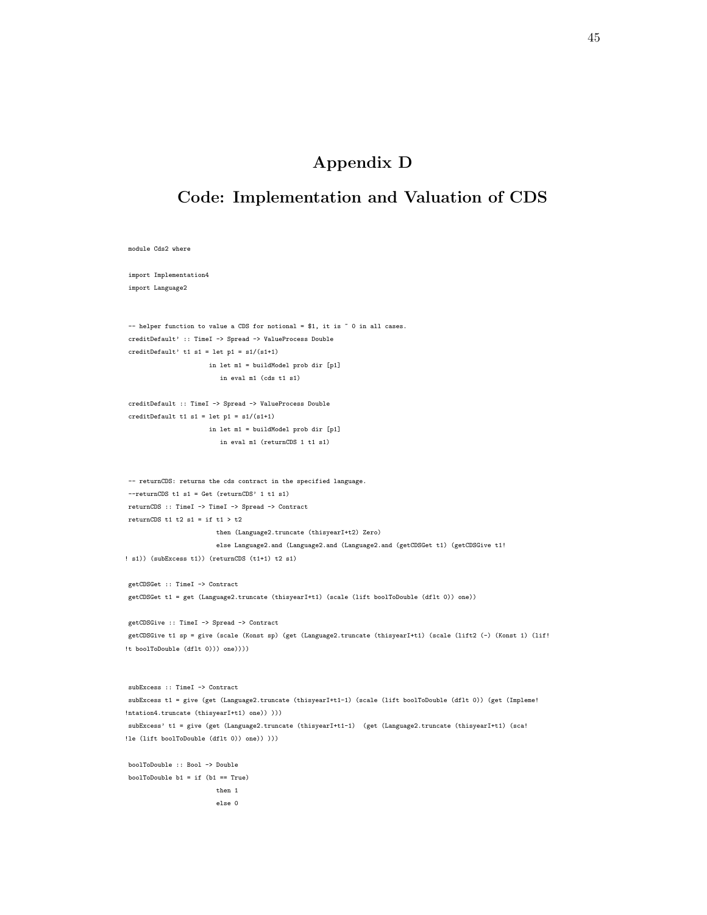## Appendix D

## Code: Implementation and Valuation of CDS

```
module Cds2 where
import Implementation4
import Language2
- helper function to value a CDS for notional = $1, it is \degree 0 in all cases.
creditDefault' :: TimeI -> Spread -> ValueProcess Double
creditDefault' t1 s1 = let p1 = s1/(s1+1)in let m1 = buildModel prob dir [p1]
                         in eval m1 (cds t1 s1)
creditDefault :: TimeI -> Spread -> ValueProcess Double
creditDefault t1 s1 = let p1 = s1/(s1+1)in let m1 = buildModel prob dir [p1]
                         in eval m1 (returnCDS 1 t1 s1)
-- returnCDS: returns the cds contract in the specified language.
--returnCDS t1 s1 = Get (returnCDS' 1 t1 s1)
returnCDS :: TimeI -> TimeI -> Spread -> Contract
returnCDS t1 t2 s1 = if t1 > t2
                        then (Language2.truncate (thisyearI+t2) Zero)
                        else Language2.and (Language2.and (Language2.and (getCDSGet t1) (getCDSGive t1!
! s1)) (subExcess t1)) (returnCDS (t1+1) t2 s1)
getCDSGet :: TimeI -> Contract
getCDSGet t1 = get (Language2.truncate (thisyearI+t1) (scale (lift boolToDouble (dflt 0)) one))
getCDSGive :: TimeI -> Spread -> Contract
getCDSGive t1 sp = give (scale (Konst sp) (get (Language2.truncate (thisyearI+t1) (scale (lift2 (-) (Konst 1) (lif!
!t boolToDouble (dflt 0))) one))))
subExcess :: TimeI -> Contract
subExcess t1 = give (get (Language2.truncate (thisyearI+t1-1) (scale (lift boolToDouble (dflt 0)) (get (Impleme!
!ntation4.truncate (thisyearI+t1) one)) )))
subExcess' t1 = give (get (Language2.truncate (thisyearI+t1-1) (get (Language2.truncate (thisyearI+t1) (sca!
!le (lift boolToDouble (dflt 0)) one)) )))
boolToDouble :: Bool -> Double
boolToDouble b1 = if (b1 == True)
                        then 1
                        else 0
```